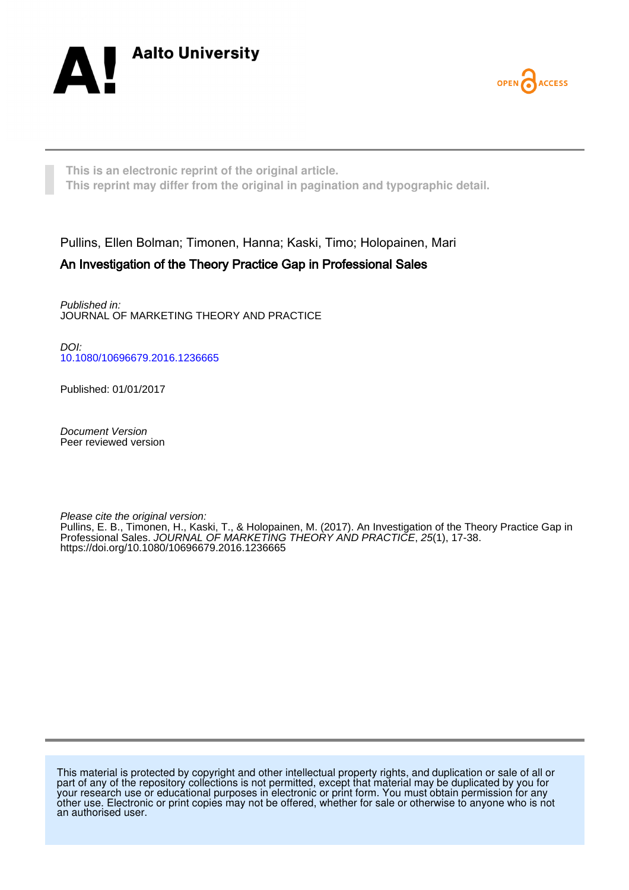



**This is an electronic reprint of the original article. This reprint may differ from the original in pagination and typographic detail.**

Pullins, Ellen Bolman; Timonen, Hanna; Kaski, Timo; Holopainen, Mari An Investigation of the Theory Practice Gap in Professional Sales

Published in: JOURNAL OF MARKETING THEORY AND PRACTICE

DOI: [10.1080/10696679.2016.1236665](https://doi.org/10.1080/10696679.2016.1236665)

Published: 01/01/2017

Document Version Peer reviewed version

Please cite the original version: Pullins, E. B., Timonen, H., Kaski, T., & Holopainen, M. (2017). An Investigation of the Theory Practice Gap in Professional Sales. JOURNAL OF MARKETING THEORY AND PRACTICE, 25(1), 17-38. <https://doi.org/10.1080/10696679.2016.1236665>

This material is protected by copyright and other intellectual property rights, and duplication or sale of all or part of any of the repository collections is not permitted, except that material may be duplicated by you for your research use or educational purposes in electronic or print form. You must obtain permission for any other use. Electronic or print copies may not be offered, whether for sale or otherwise to anyone who is not an authorised user.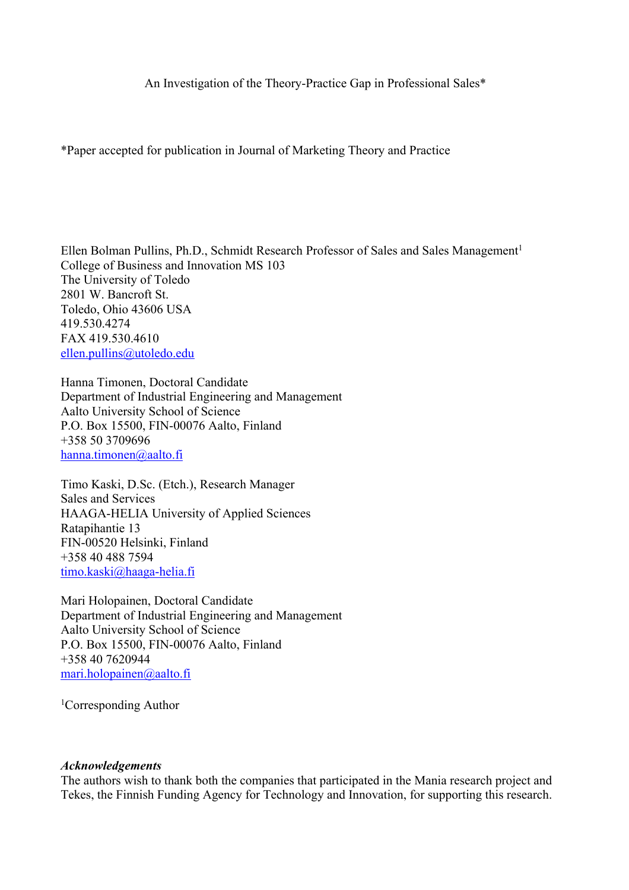An Investigation of the Theory-Practice Gap in Professional Sales\*

\*Paper accepted for publication in Journal of Marketing Theory and Practice

Ellen Bolman Pullins, Ph.D., Schmidt Research Professor of Sales and Sales Management<sup>1</sup> College of Business and Innovation MS 103 The University of Toledo 2801 W. Bancroft St. Toledo, Ohio 43606 USA 419.530.4274 FAX 419.530.4610 ellen.pullins@utoledo.edu

Hanna Timonen, Doctoral Candidate Department of Industrial Engineering and Management Aalto University School of Science P.O. Box 15500, FIN-00076 Aalto, Finland +358 50 3709696 hanna.timonen@aalto.fi

Timo Kaski, D.Sc. (Etch.), Research Manager Sales and Services HAAGA-HELIA University of Applied Sciences Ratapihantie 13 FIN-00520 Helsinki, Finland +358 40 488 7594 timo.kaski@haaga-helia.fi

Mari Holopainen, Doctoral Candidate Department of Industrial Engineering and Management Aalto University School of Science P.O. Box 15500, FIN-00076 Aalto, Finland +358 40 7620944 mari.holopainen@aalto.fi

<sup>1</sup>Corresponding Author

### *Acknowledgements*

The authors wish to thank both the companies that participated in the Mania research project and Tekes, the Finnish Funding Agency for Technology and Innovation, for supporting this research.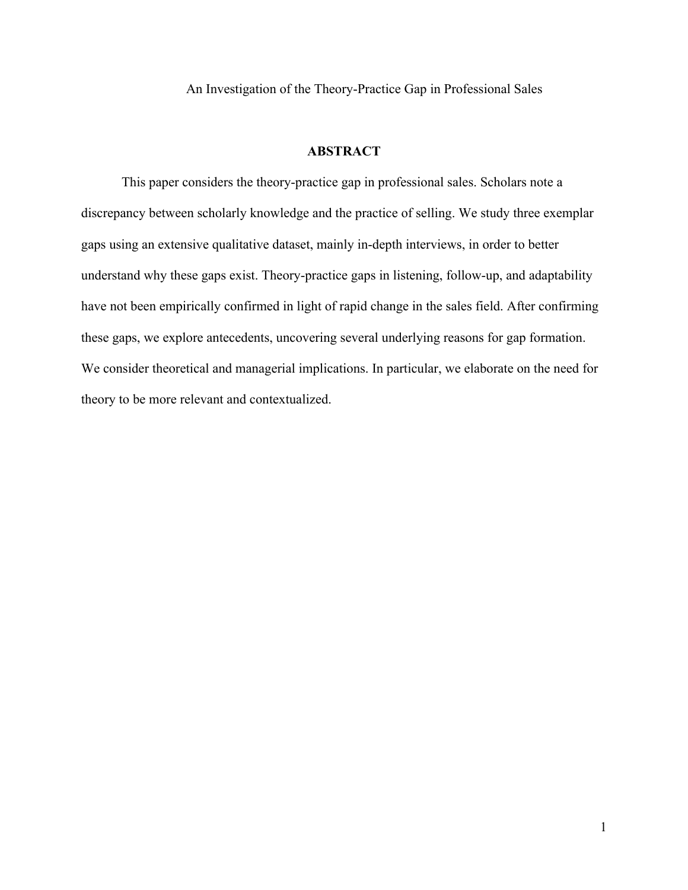An Investigation of the Theory-Practice Gap in Professional Sales

#### **ABSTRACT**

This paper considers the theory-practice gap in professional sales. Scholars note a discrepancy between scholarly knowledge and the practice of selling. We study three exemplar gaps using an extensive qualitative dataset, mainly in-depth interviews, in order to better understand why these gaps exist. Theory-practice gaps in listening, follow-up, and adaptability have not been empirically confirmed in light of rapid change in the sales field. After confirming these gaps, we explore antecedents, uncovering several underlying reasons for gap formation. We consider theoretical and managerial implications. In particular, we elaborate on the need for theory to be more relevant and contextualized.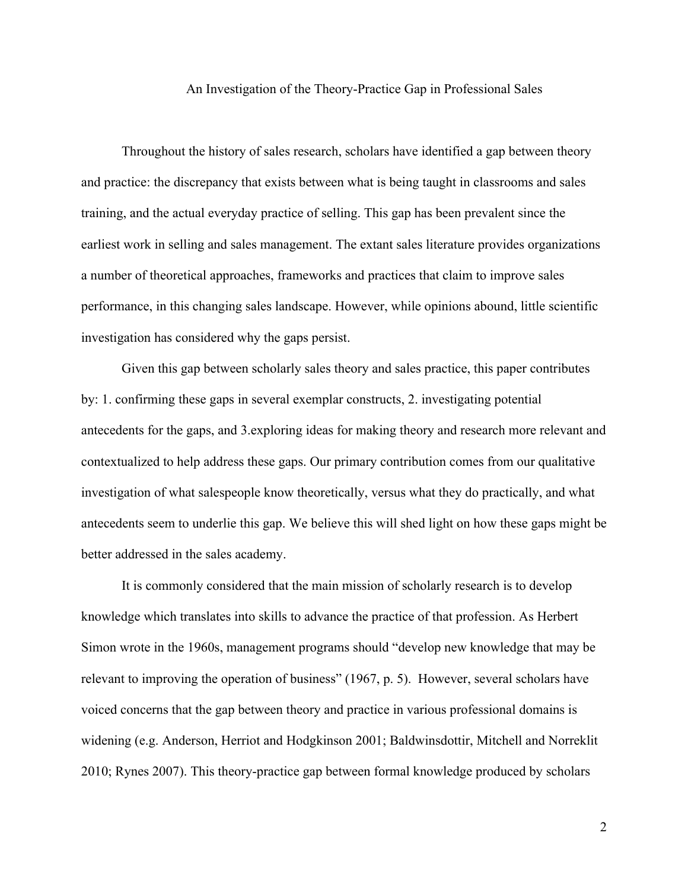#### An Investigation of the Theory-Practice Gap in Professional Sales

Throughout the history of sales research, scholars have identified a gap between theory and practice: the discrepancy that exists between what is being taught in classrooms and sales training, and the actual everyday practice of selling. This gap has been prevalent since the earliest work in selling and sales management. The extant sales literature provides organizations a number of theoretical approaches, frameworks and practices that claim to improve sales performance, in this changing sales landscape. However, while opinions abound, little scientific investigation has considered why the gaps persist.

Given this gap between scholarly sales theory and sales practice, this paper contributes by: 1. confirming these gaps in several exemplar constructs, 2. investigating potential antecedents for the gaps, and 3.exploring ideas for making theory and research more relevant and contextualized to help address these gaps. Our primary contribution comes from our qualitative investigation of what salespeople know theoretically, versus what they do practically, and what antecedents seem to underlie this gap. We believe this will shed light on how these gaps might be better addressed in the sales academy.

It is commonly considered that the main mission of scholarly research is to develop knowledge which translates into skills to advance the practice of that profession. As Herbert Simon wrote in the 1960s, management programs should "develop new knowledge that may be relevant to improving the operation of business" (1967, p. 5). However, several scholars have voiced concerns that the gap between theory and practice in various professional domains is widening (e.g. Anderson, Herriot and Hodgkinson 2001; Baldwinsdottir, Mitchell and Norreklit 2010; Rynes 2007). This theory-practice gap between formal knowledge produced by scholars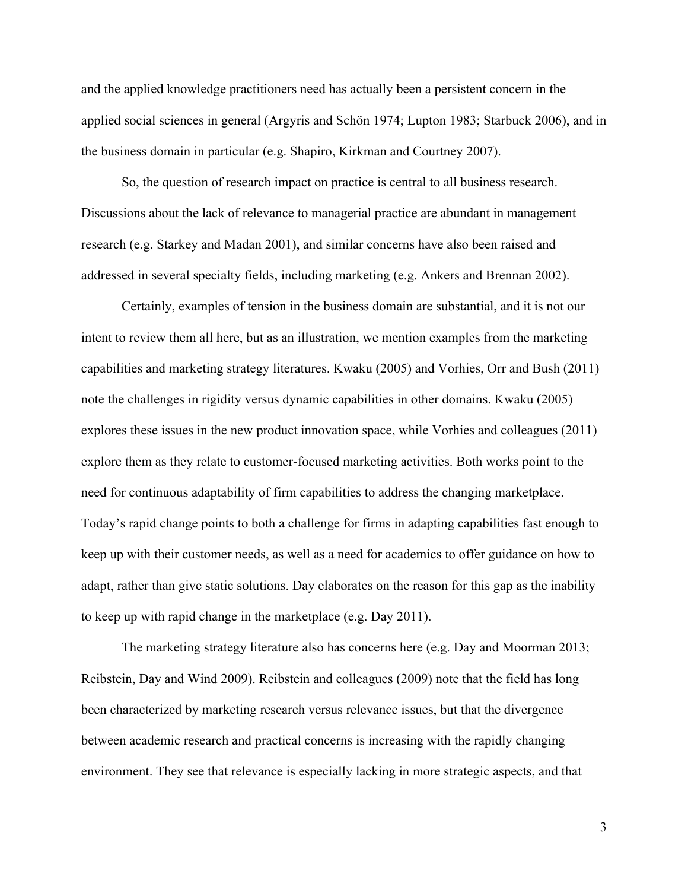and the applied knowledge practitioners need has actually been a persistent concern in the applied social sciences in general (Argyris and Schön 1974; Lupton 1983; Starbuck 2006), and in the business domain in particular (e.g. Shapiro, Kirkman and Courtney 2007).

So, the question of research impact on practice is central to all business research. Discussions about the lack of relevance to managerial practice are abundant in management research (e.g. Starkey and Madan 2001), and similar concerns have also been raised and addressed in several specialty fields, including marketing (e.g. Ankers and Brennan 2002).

Certainly, examples of tension in the business domain are substantial, and it is not our intent to review them all here, but as an illustration, we mention examples from the marketing capabilities and marketing strategy literatures. Kwaku (2005) and Vorhies, Orr and Bush (2011) note the challenges in rigidity versus dynamic capabilities in other domains. Kwaku (2005) explores these issues in the new product innovation space, while Vorhies and colleagues (2011) explore them as they relate to customer-focused marketing activities. Both works point to the need for continuous adaptability of firm capabilities to address the changing marketplace. Today's rapid change points to both a challenge for firms in adapting capabilities fast enough to keep up with their customer needs, as well as a need for academics to offer guidance on how to adapt, rather than give static solutions. Day elaborates on the reason for this gap as the inability to keep up with rapid change in the marketplace (e.g. Day 2011).

The marketing strategy literature also has concerns here (e.g. Day and Moorman 2013; Reibstein, Day and Wind 2009). Reibstein and colleagues (2009) note that the field has long been characterized by marketing research versus relevance issues, but that the divergence between academic research and practical concerns is increasing with the rapidly changing environment. They see that relevance is especially lacking in more strategic aspects, and that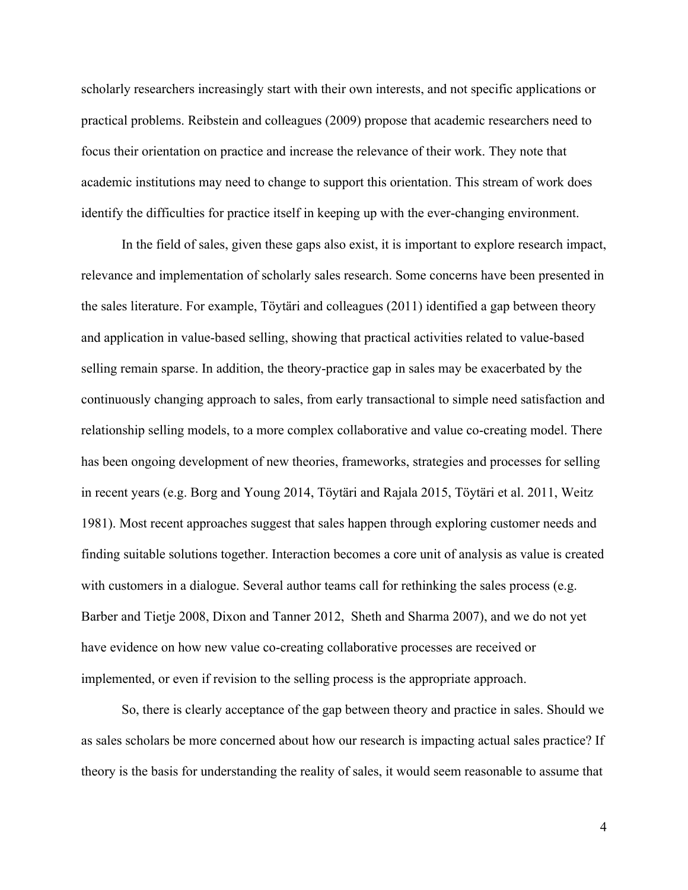scholarly researchers increasingly start with their own interests, and not specific applications or practical problems. Reibstein and colleagues (2009) propose that academic researchers need to focus their orientation on practice and increase the relevance of their work. They note that academic institutions may need to change to support this orientation. This stream of work does identify the difficulties for practice itself in keeping up with the ever-changing environment.

In the field of sales, given these gaps also exist, it is important to explore research impact, relevance and implementation of scholarly sales research. Some concerns have been presented in the sales literature. For example, Töytäri and colleagues (2011) identified a gap between theory and application in value-based selling, showing that practical activities related to value-based selling remain sparse. In addition, the theory-practice gap in sales may be exacerbated by the continuously changing approach to sales, from early transactional to simple need satisfaction and relationship selling models, to a more complex collaborative and value co-creating model. There has been ongoing development of new theories, frameworks, strategies and processes for selling in recent years (e.g. Borg and Young 2014, Töytäri and Rajala 2015, Töytäri et al. 2011, Weitz 1981). Most recent approaches suggest that sales happen through exploring customer needs and finding suitable solutions together. Interaction becomes a core unit of analysis as value is created with customers in a dialogue. Several author teams call for rethinking the sales process (e.g. Barber and Tietje 2008, Dixon and Tanner 2012, Sheth and Sharma 2007), and we do not yet have evidence on how new value co-creating collaborative processes are received or implemented, or even if revision to the selling process is the appropriate approach.

So, there is clearly acceptance of the gap between theory and practice in sales. Should we as sales scholars be more concerned about how our research is impacting actual sales practice? If theory is the basis for understanding the reality of sales, it would seem reasonable to assume that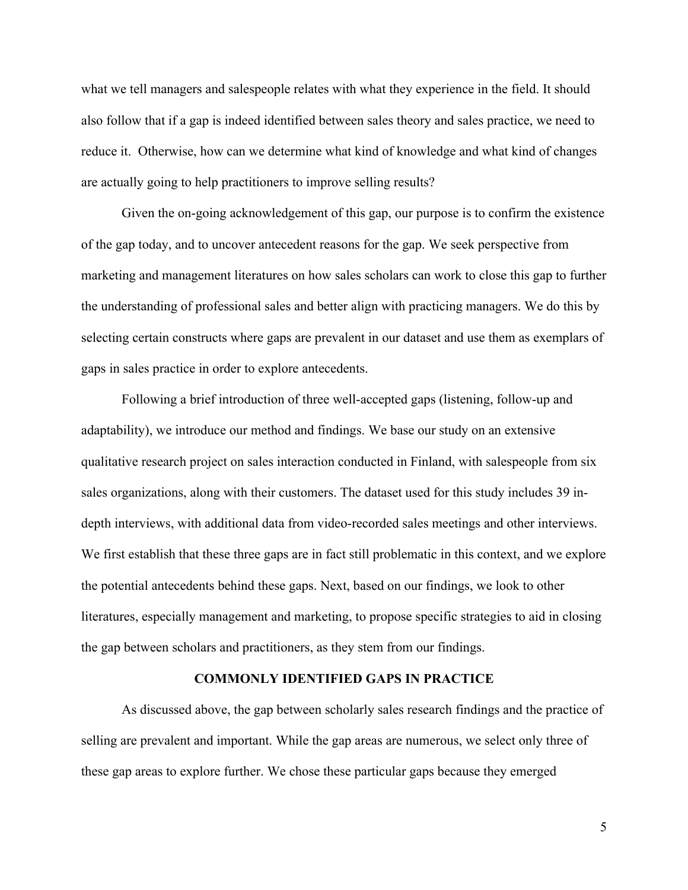what we tell managers and salespeople relates with what they experience in the field. It should also follow that if a gap is indeed identified between sales theory and sales practice, we need to reduce it. Otherwise, how can we determine what kind of knowledge and what kind of changes are actually going to help practitioners to improve selling results?

Given the on-going acknowledgement of this gap, our purpose is to confirm the existence of the gap today, and to uncover antecedent reasons for the gap. We seek perspective from marketing and management literatures on how sales scholars can work to close this gap to further the understanding of professional sales and better align with practicing managers. We do this by selecting certain constructs where gaps are prevalent in our dataset and use them as exemplars of gaps in sales practice in order to explore antecedents.

Following a brief introduction of three well-accepted gaps (listening, follow-up and adaptability), we introduce our method and findings. We base our study on an extensive qualitative research project on sales interaction conducted in Finland, with salespeople from six sales organizations, along with their customers. The dataset used for this study includes 39 indepth interviews, with additional data from video-recorded sales meetings and other interviews. We first establish that these three gaps are in fact still problematic in this context, and we explore the potential antecedents behind these gaps. Next, based on our findings, we look to other literatures, especially management and marketing, to propose specific strategies to aid in closing the gap between scholars and practitioners, as they stem from our findings.

#### **COMMONLY IDENTIFIED GAPS IN PRACTICE**

As discussed above, the gap between scholarly sales research findings and the practice of selling are prevalent and important. While the gap areas are numerous, we select only three of these gap areas to explore further. We chose these particular gaps because they emerged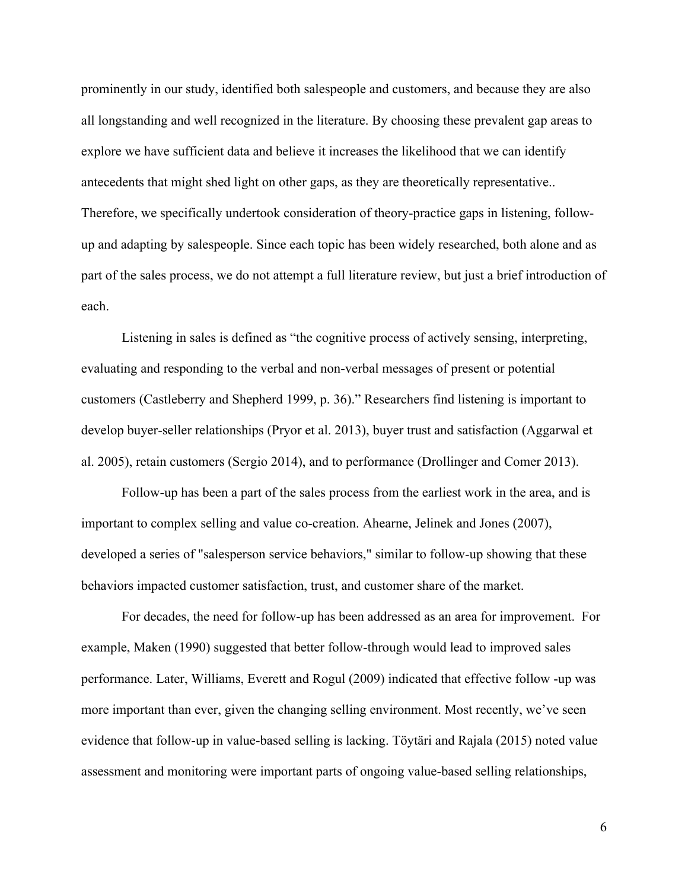prominently in our study, identified both salespeople and customers, and because they are also all longstanding and well recognized in the literature. By choosing these prevalent gap areas to explore we have sufficient data and believe it increases the likelihood that we can identify antecedents that might shed light on other gaps, as they are theoretically representative.. Therefore, we specifically undertook consideration of theory-practice gaps in listening, followup and adapting by salespeople. Since each topic has been widely researched, both alone and as part of the sales process, we do not attempt a full literature review, but just a brief introduction of each.

Listening in sales is defined as "the cognitive process of actively sensing, interpreting, evaluating and responding to the verbal and non-verbal messages of present or potential customers (Castleberry and Shepherd 1999, p. 36)." Researchers find listening is important to develop buyer-seller relationships (Pryor et al. 2013), buyer trust and satisfaction (Aggarwal et al. 2005), retain customers (Sergio 2014), and to performance (Drollinger and Comer 2013).

Follow-up has been a part of the sales process from the earliest work in the area, and is important to complex selling and value co-creation. Ahearne, Jelinek and Jones (2007), developed a series of "salesperson service behaviors," similar to follow-up showing that these behaviors impacted customer satisfaction, trust, and customer share of the market.

For decades, the need for follow-up has been addressed as an area for improvement. For example, Maken (1990) suggested that better follow-through would lead to improved sales performance. Later, Williams, Everett and Rogul (2009) indicated that effective follow -up was more important than ever, given the changing selling environment. Most recently, we've seen evidence that follow-up in value-based selling is lacking. Töytäri and Rajala (2015) noted value assessment and monitoring were important parts of ongoing value-based selling relationships,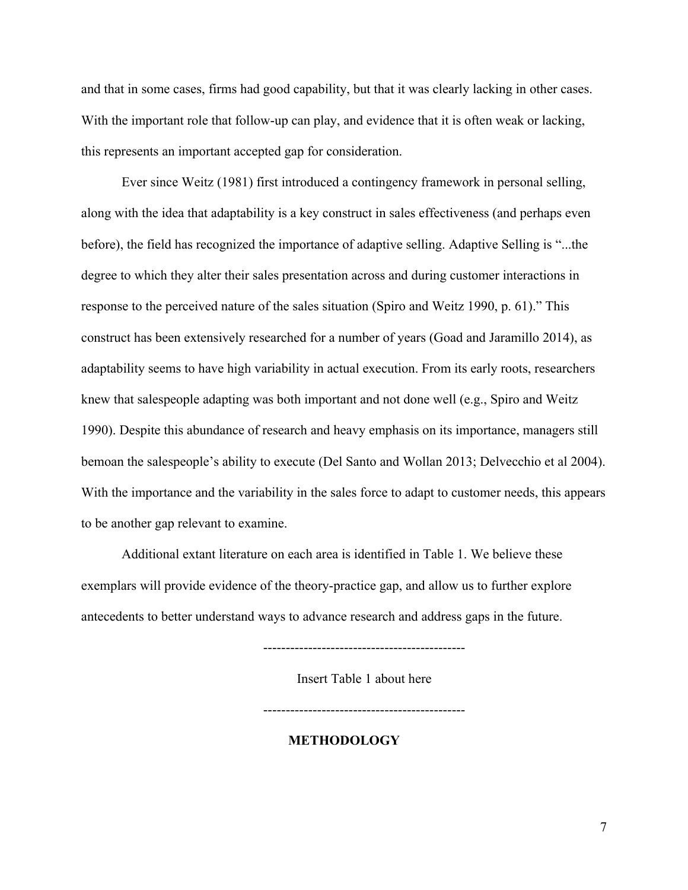and that in some cases, firms had good capability, but that it was clearly lacking in other cases. With the important role that follow-up can play, and evidence that it is often weak or lacking, this represents an important accepted gap for consideration.

Ever since Weitz (1981) first introduced a contingency framework in personal selling, along with the idea that adaptability is a key construct in sales effectiveness (and perhaps even before), the field has recognized the importance of adaptive selling. Adaptive Selling is "...the degree to which they alter their sales presentation across and during customer interactions in response to the perceived nature of the sales situation (Spiro and Weitz 1990, p. 61)." This construct has been extensively researched for a number of years (Goad and Jaramillo 2014), as adaptability seems to have high variability in actual execution. From its early roots, researchers knew that salespeople adapting was both important and not done well (e.g., Spiro and Weitz 1990). Despite this abundance of research and heavy emphasis on its importance, managers still bemoan the salespeople's ability to execute (Del Santo and Wollan 2013; Delvecchio et al 2004). With the importance and the variability in the sales force to adapt to customer needs, this appears to be another gap relevant to examine.

Additional extant literature on each area is identified in Table 1. We believe these exemplars will provide evidence of the theory-practice gap, and allow us to further explore antecedents to better understand ways to advance research and address gaps in the future.

---------------------------------------------

Insert Table 1 about here

---------------------------------------------

**METHODOLOGY**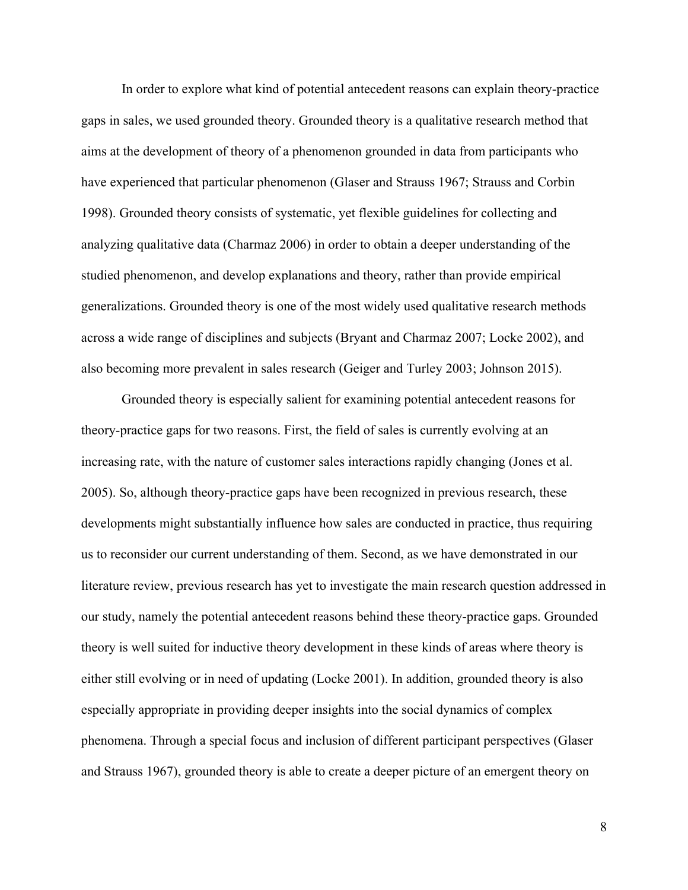In order to explore what kind of potential antecedent reasons can explain theory-practice gaps in sales, we used grounded theory. Grounded theory is a qualitative research method that aims at the development of theory of a phenomenon grounded in data from participants who have experienced that particular phenomenon (Glaser and Strauss 1967; Strauss and Corbin 1998). Grounded theory consists of systematic, yet flexible guidelines for collecting and analyzing qualitative data (Charmaz 2006) in order to obtain a deeper understanding of the studied phenomenon, and develop explanations and theory, rather than provide empirical generalizations. Grounded theory is one of the most widely used qualitative research methods across a wide range of disciplines and subjects (Bryant and Charmaz 2007; Locke 2002), and also becoming more prevalent in sales research (Geiger and Turley 2003; Johnson 2015).

Grounded theory is especially salient for examining potential antecedent reasons for theory-practice gaps for two reasons. First, the field of sales is currently evolving at an increasing rate, with the nature of customer sales interactions rapidly changing (Jones et al. 2005). So, although theory-practice gaps have been recognized in previous research, these developments might substantially influence how sales are conducted in practice, thus requiring us to reconsider our current understanding of them. Second, as we have demonstrated in our literature review, previous research has yet to investigate the main research question addressed in our study, namely the potential antecedent reasons behind these theory-practice gaps. Grounded theory is well suited for inductive theory development in these kinds of areas where theory is either still evolving or in need of updating (Locke 2001). In addition, grounded theory is also especially appropriate in providing deeper insights into the social dynamics of complex phenomena. Through a special focus and inclusion of different participant perspectives (Glaser and Strauss 1967), grounded theory is able to create a deeper picture of an emergent theory on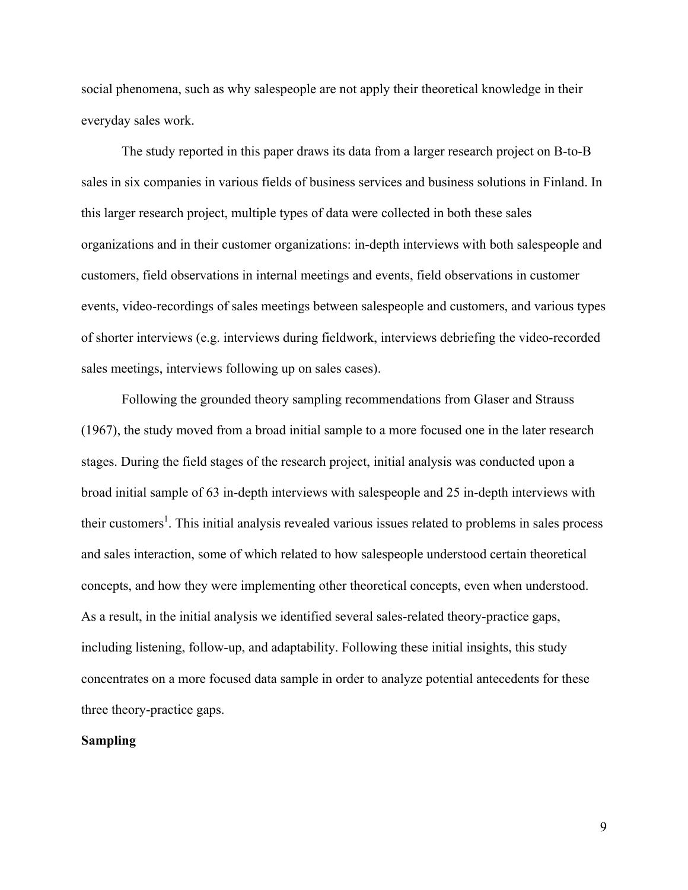social phenomena, such as why salespeople are not apply their theoretical knowledge in their everyday sales work.

The study reported in this paper draws its data from a larger research project on B-to-B sales in six companies in various fields of business services and business solutions in Finland. In this larger research project, multiple types of data were collected in both these sales organizations and in their customer organizations: in-depth interviews with both salespeople and customers, field observations in internal meetings and events, field observations in customer events, video-recordings of sales meetings between salespeople and customers, and various types of shorter interviews (e.g. interviews during fieldwork, interviews debriefing the video-recorded sales meetings, interviews following up on sales cases).

Following the grounded theory sampling recommendations from Glaser and Strauss (1967), the study moved from a broad initial sample to a more focused one in the later research stages. During the field stages of the research project, initial analysis was conducted upon a broad initial sample of 63 in-depth interviews with salespeople and 25 in-depth interviews with their customers<sup>1</sup>. This initial analysis revealed various issues related to problems in sales process and sales interaction, some of which related to how salespeople understood certain theoretical concepts, and how they were implementing other theoretical concepts, even when understood. As a result, in the initial analysis we identified several sales-related theory-practice gaps, including listening, follow-up, and adaptability. Following these initial insights, this study concentrates on a more focused data sample in order to analyze potential antecedents for these three theory-practice gaps.

#### **Sampling**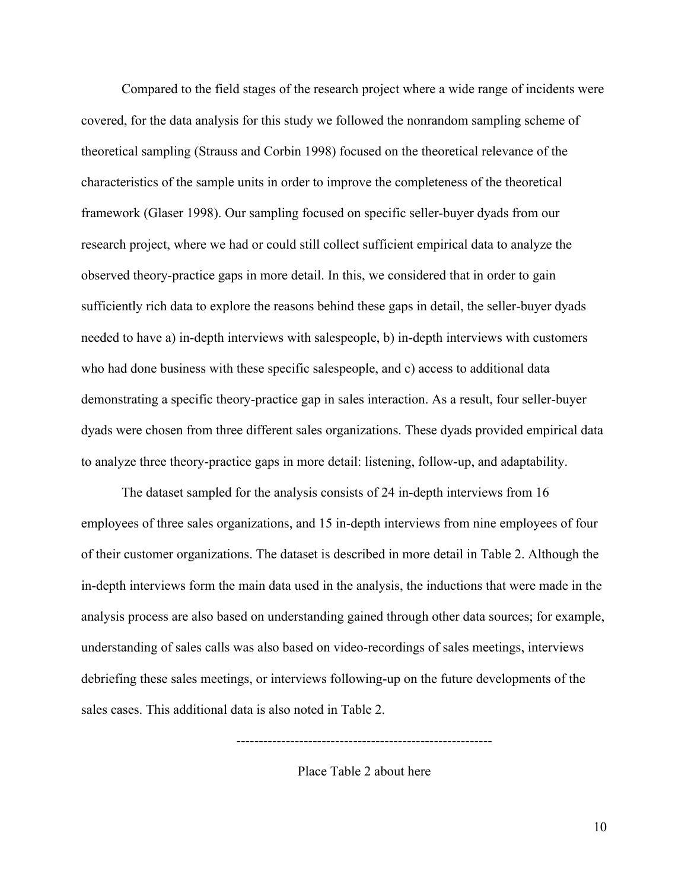Compared to the field stages of the research project where a wide range of incidents were covered, for the data analysis for this study we followed the nonrandom sampling scheme of theoretical sampling (Strauss and Corbin 1998) focused on the theoretical relevance of the characteristics of the sample units in order to improve the completeness of the theoretical framework (Glaser 1998). Our sampling focused on specific seller-buyer dyads from our research project, where we had or could still collect sufficient empirical data to analyze the observed theory-practice gaps in more detail. In this, we considered that in order to gain sufficiently rich data to explore the reasons behind these gaps in detail, the seller-buyer dyads needed to have a) in-depth interviews with salespeople, b) in-depth interviews with customers who had done business with these specific salespeople, and c) access to additional data demonstrating a specific theory-practice gap in sales interaction. As a result, four seller-buyer dyads were chosen from three different sales organizations. These dyads provided empirical data to analyze three theory-practice gaps in more detail: listening, follow-up, and adaptability.

The dataset sampled for the analysis consists of 24 in-depth interviews from 16 employees of three sales organizations, and 15 in-depth interviews from nine employees of four of their customer organizations. The dataset is described in more detail in Table 2. Although the in-depth interviews form the main data used in the analysis, the inductions that were made in the analysis process are also based on understanding gained through other data sources; for example, understanding of sales calls was also based on video-recordings of sales meetings, interviews debriefing these sales meetings, or interviews following-up on the future developments of the sales cases. This additional data is also noted in Table 2.

Place Table 2 about here

---------------------------------------------------------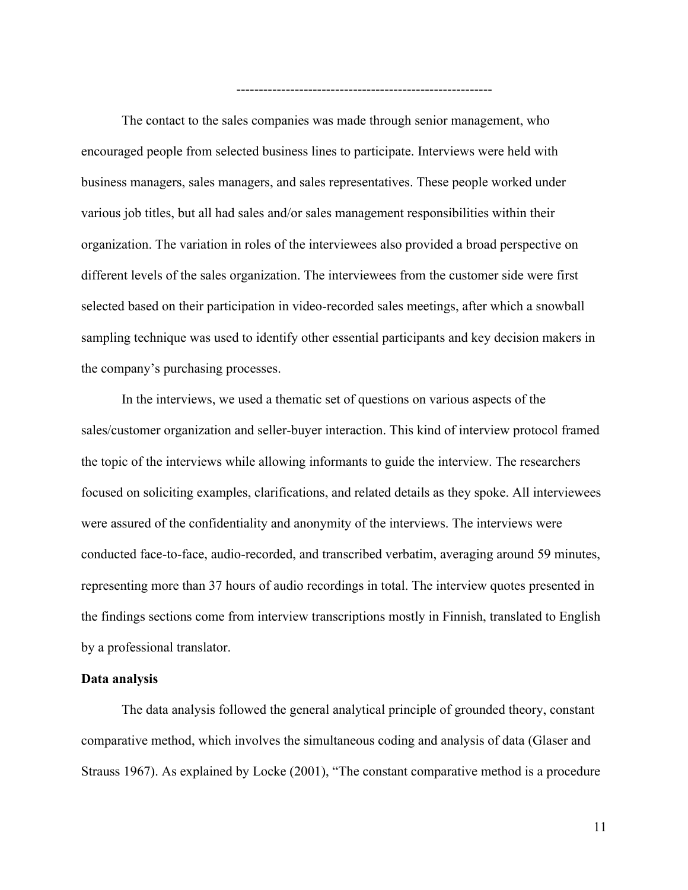---------------------------------------------------------

The contact to the sales companies was made through senior management, who encouraged people from selected business lines to participate. Interviews were held with business managers, sales managers, and sales representatives. These people worked under various job titles, but all had sales and/or sales management responsibilities within their organization. The variation in roles of the interviewees also provided a broad perspective on different levels of the sales organization. The interviewees from the customer side were first selected based on their participation in video-recorded sales meetings, after which a snowball sampling technique was used to identify other essential participants and key decision makers in the company's purchasing processes.

In the interviews, we used a thematic set of questions on various aspects of the sales/customer organization and seller-buyer interaction. This kind of interview protocol framed the topic of the interviews while allowing informants to guide the interview. The researchers focused on soliciting examples, clarifications, and related details as they spoke. All interviewees were assured of the confidentiality and anonymity of the interviews. The interviews were conducted face-to-face, audio-recorded, and transcribed verbatim, averaging around 59 minutes, representing more than 37 hours of audio recordings in total. The interview quotes presented in the findings sections come from interview transcriptions mostly in Finnish, translated to English by a professional translator.

#### **Data analysis**

The data analysis followed the general analytical principle of grounded theory, constant comparative method, which involves the simultaneous coding and analysis of data (Glaser and Strauss 1967). As explained by Locke (2001), "The constant comparative method is a procedure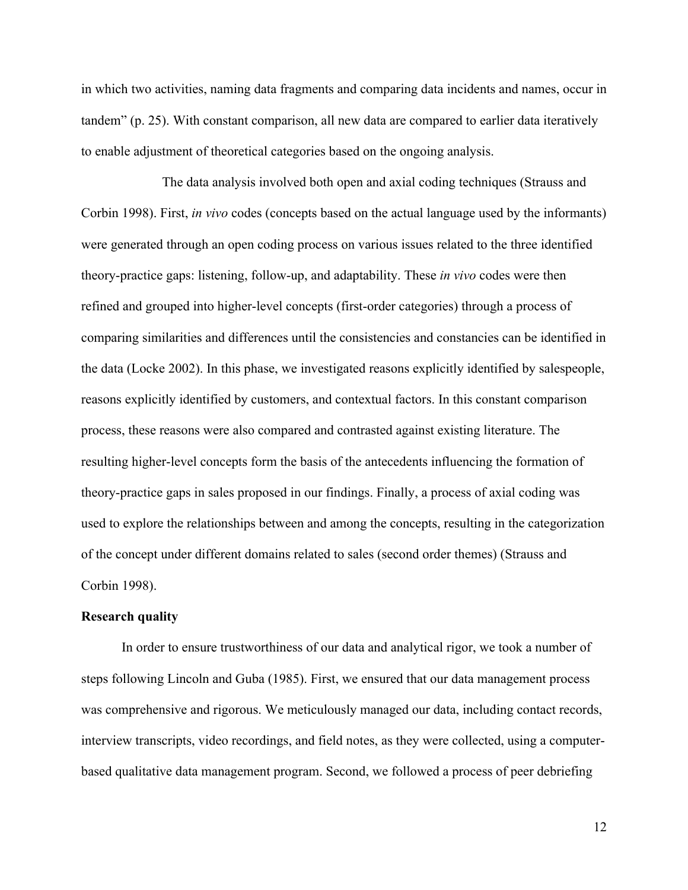in which two activities, naming data fragments and comparing data incidents and names, occur in tandem" (p. 25). With constant comparison, all new data are compared to earlier data iteratively to enable adjustment of theoretical categories based on the ongoing analysis.

 The data analysis involved both open and axial coding techniques (Strauss and Corbin 1998). First, *in vivo* codes (concepts based on the actual language used by the informants) were generated through an open coding process on various issues related to the three identified theory-practice gaps: listening, follow-up, and adaptability. These *in vivo* codes were then refined and grouped into higher-level concepts (first-order categories) through a process of comparing similarities and differences until the consistencies and constancies can be identified in the data (Locke 2002). In this phase, we investigated reasons explicitly identified by salespeople, reasons explicitly identified by customers, and contextual factors. In this constant comparison process, these reasons were also compared and contrasted against existing literature. The resulting higher-level concepts form the basis of the antecedents influencing the formation of theory-practice gaps in sales proposed in our findings. Finally, a process of axial coding was used to explore the relationships between and among the concepts, resulting in the categorization of the concept under different domains related to sales (second order themes) (Strauss and Corbin 1998).

#### **Research quality**

In order to ensure trustworthiness of our data and analytical rigor, we took a number of steps following Lincoln and Guba (1985). First, we ensured that our data management process was comprehensive and rigorous. We meticulously managed our data, including contact records, interview transcripts, video recordings, and field notes, as they were collected, using a computerbased qualitative data management program. Second, we followed a process of peer debriefing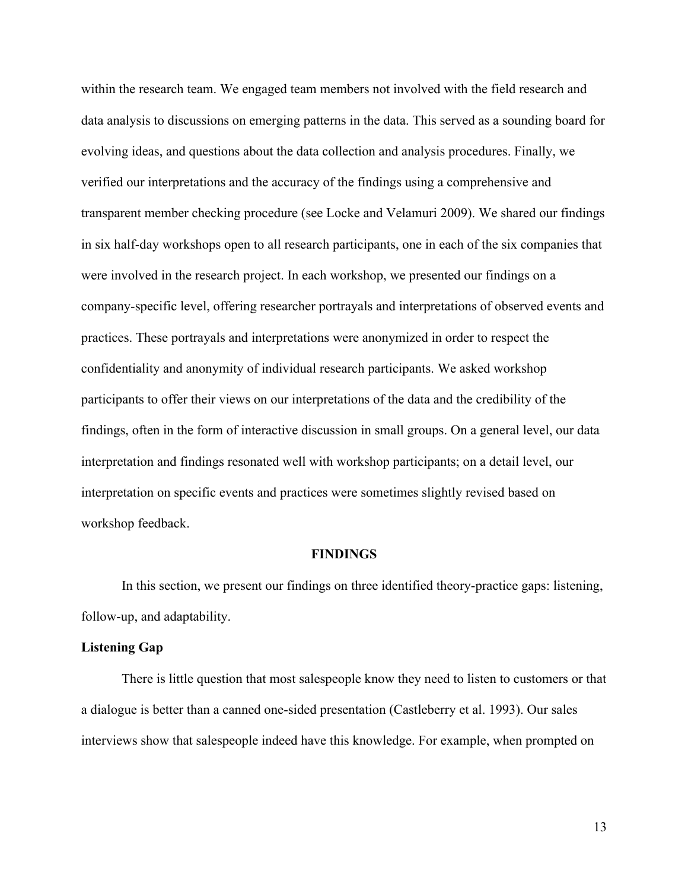within the research team. We engaged team members not involved with the field research and data analysis to discussions on emerging patterns in the data. This served as a sounding board for evolving ideas, and questions about the data collection and analysis procedures. Finally, we verified our interpretations and the accuracy of the findings using a comprehensive and transparent member checking procedure (see Locke and Velamuri 2009). We shared our findings in six half-day workshops open to all research participants, one in each of the six companies that were involved in the research project. In each workshop, we presented our findings on a company-specific level, offering researcher portrayals and interpretations of observed events and practices. These portrayals and interpretations were anonymized in order to respect the confidentiality and anonymity of individual research participants. We asked workshop participants to offer their views on our interpretations of the data and the credibility of the findings, often in the form of interactive discussion in small groups. On a general level, our data interpretation and findings resonated well with workshop participants; on a detail level, our interpretation on specific events and practices were sometimes slightly revised based on workshop feedback.

#### **FINDINGS**

In this section, we present our findings on three identified theory-practice gaps: listening, follow-up, and adaptability.

#### **Listening Gap**

There is little question that most salespeople know they need to listen to customers or that a dialogue is better than a canned one-sided presentation (Castleberry et al. 1993). Our sales interviews show that salespeople indeed have this knowledge. For example, when prompted on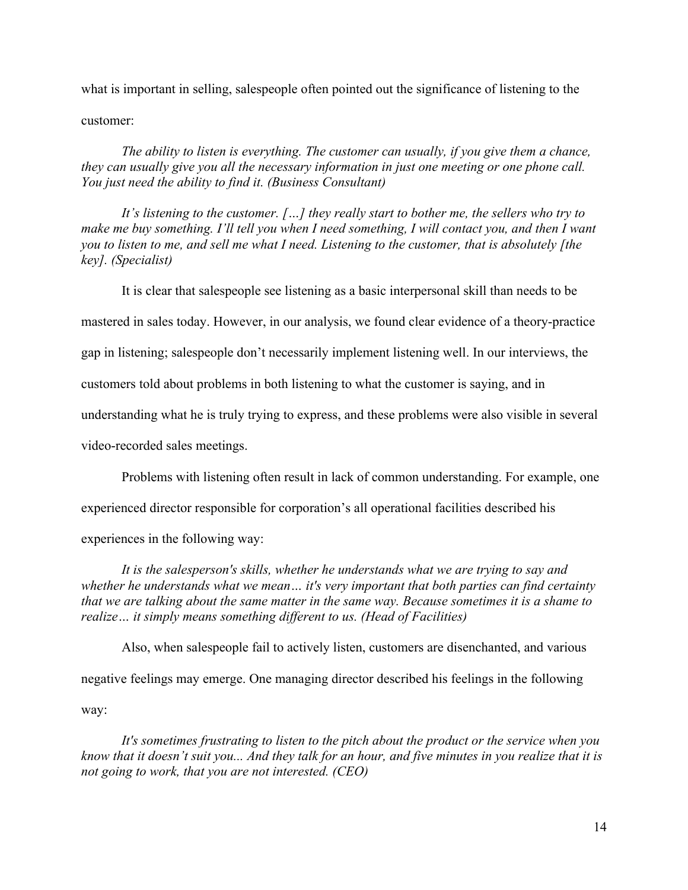what is important in selling, salespeople often pointed out the significance of listening to the customer:

*The ability to listen is everything. The customer can usually, if you give them a chance, they can usually give you all the necessary information in just one meeting or one phone call. You just need the ability to find it. (Business Consultant)*

*It's listening to the customer. […] they really start to bother me, the sellers who try to make me buy something. I'll tell you when I need something, I will contact you, and then I want you to listen to me, and sell me what I need. Listening to the customer, that is absolutely [the key]. (Specialist)*

It is clear that salespeople see listening as a basic interpersonal skill than needs to be mastered in sales today. However, in our analysis, we found clear evidence of a theory-practice gap in listening; salespeople don't necessarily implement listening well. In our interviews, the customers told about problems in both listening to what the customer is saying, and in understanding what he is truly trying to express, and these problems were also visible in several video-recorded sales meetings.

Problems with listening often result in lack of common understanding. For example, one

experienced director responsible for corporation's all operational facilities described his

experiences in the following way:

*It is the salesperson's skills, whether he understands what we are trying to say and whether he understands what we mean… it's very important that both parties can find certainty that we are talking about the same matter in the same way. Because sometimes it is a shame to realize… it simply means something different to us. (Head of Facilities)*

Also, when salespeople fail to actively listen, customers are disenchanted, and various negative feelings may emerge. One managing director described his feelings in the following way:

*It's sometimes frustrating to listen to the pitch about the product or the service when you know that it doesn't suit you... And they talk for an hour, and five minutes in you realize that it is not going to work, that you are not interested. (CEO)*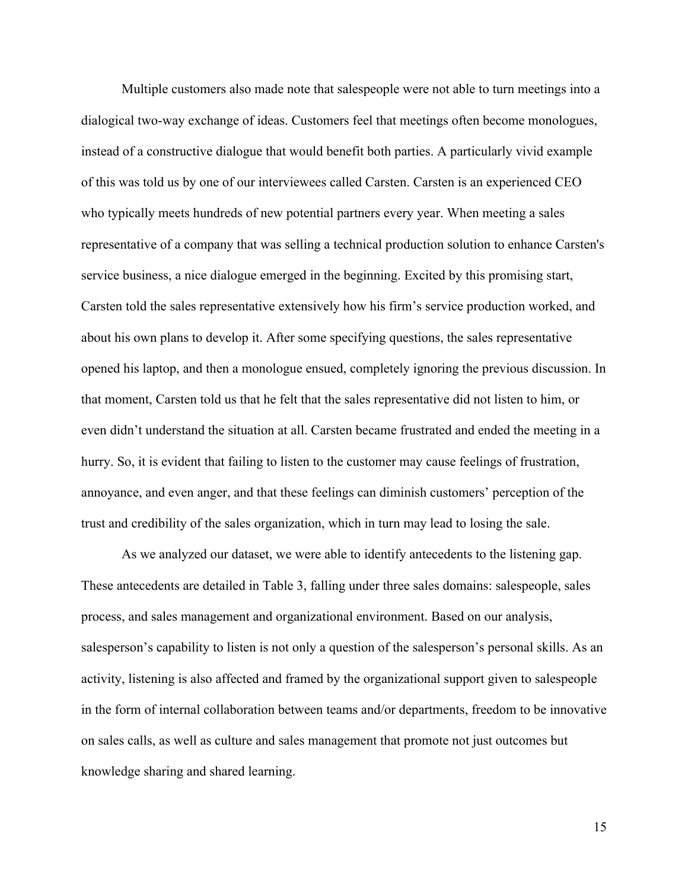Multiple customers also made note that salespeople were not able to turn meetings into a dialogical two-way exchange of ideas. Customers feel that meetings often become monologues, instead of a constructive dialogue that would benefit both parties. A particularly vivid example of this was told us by one of our interviewees called Carsten. Carsten is an experienced CEO who typically meets hundreds of new potential partners every year. When meeting a sales representative of a company that was selling a technical production solution to enhance Carsten's service business, a nice dialogue emerged in the beginning. Excited by this promising start, Carsten told the sales representative extensively how his firm's service production worked, and about his own plans to develop it. After some specifying questions, the sales representative opened his laptop, and then a monologue ensued, completely ignoring the previous discussion. In that moment, Carsten told us that he felt that the sales representative did not listen to him, or even didn't understand the situation at all. Carsten became frustrated and ended the meeting in a hurry. So, it is evident that failing to listen to the customer may cause feelings of frustration, annoyance, and even anger, and that these feelings can diminish customers' perception of the trust and credibility of the sales organization, which in turn may lead to losing the sale.

As we analyzed our dataset, we were able to identify antecedents to the listening gap. These antecedents are detailed in Table 3, falling under three sales domains: salespeople, sales process, and sales management and organizational environment. Based on our analysis, salesperson's capability to listen is not only a question of the salesperson's personal skills. As an activity, listening is also affected and framed by the organizational support given to salespeople in the form of internal collaboration between teams and/or departments, freedom to be innovative on sales calls, as well as culture and sales management that promote not just outcomes but knowledge sharing and shared learning.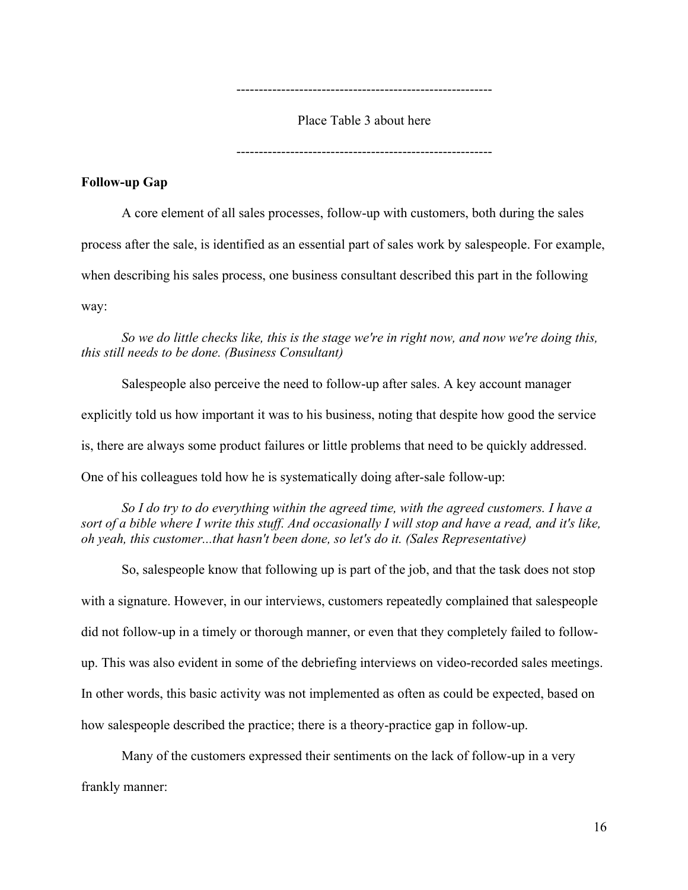---------------------------------------------------------

Place Table 3 about here

---------------------------------------------------------

### **Follow-up Gap**

A core element of all sales processes, follow-up with customers, both during the sales process after the sale, is identified as an essential part of sales work by salespeople. For example, when describing his sales process, one business consultant described this part in the following way:

*So we do little checks like, this is the stage we're in right now, and now we're doing this, this still needs to be done. (Business Consultant)*

Salespeople also perceive the need to follow-up after sales. A key account manager explicitly told us how important it was to his business, noting that despite how good the service is, there are always some product failures or little problems that need to be quickly addressed. One of his colleagues told how he is systematically doing after-sale follow-up:

*So I do try to do everything within the agreed time, with the agreed customers. I have a sort of a bible where I write this stuff. And occasionally I will stop and have a read, and it's like, oh yeah, this customer...that hasn't been done, so let's do it. (Sales Representative)*

So, salespeople know that following up is part of the job, and that the task does not stop with a signature. However, in our interviews, customers repeatedly complained that salespeople did not follow-up in a timely or thorough manner, or even that they completely failed to followup. This was also evident in some of the debriefing interviews on video-recorded sales meetings. In other words, this basic activity was not implemented as often as could be expected, based on how salespeople described the practice; there is a theory-practice gap in follow-up.

Many of the customers expressed their sentiments on the lack of follow-up in a very frankly manner: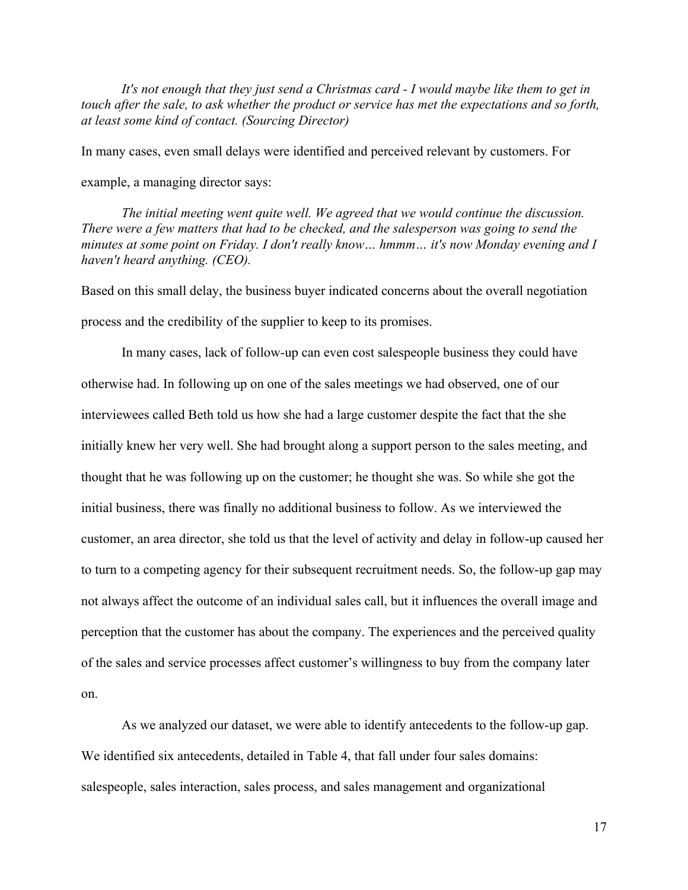*It's not enough that they just send a Christmas card - I would maybe like them to get in touch after the sale, to ask whether the product or service has met the expectations and so forth, at least some kind of contact. (Sourcing Director)*

In many cases, even small delays were identified and perceived relevant by customers. For example, a managing director says:

*The initial meeting went quite well. We agreed that we would continue the discussion. There were a few matters that had to be checked, and the salesperson was going to send the minutes at some point on Friday. I don't really know… hmmm… it's now Monday evening and I haven't heard anything. (CEO).*

Based on this small delay, the business buyer indicated concerns about the overall negotiation process and the credibility of the supplier to keep to its promises.

In many cases, lack of follow-up can even cost salespeople business they could have otherwise had. In following up on one of the sales meetings we had observed, one of our interviewees called Beth told us how she had a large customer despite the fact that the she initially knew her very well. She had brought along a support person to the sales meeting, and thought that he was following up on the customer; he thought she was. So while she got the initial business, there was finally no additional business to follow. As we interviewed the customer, an area director, she told us that the level of activity and delay in follow-up caused her to turn to a competing agency for their subsequent recruitment needs. So, the follow-up gap may not always affect the outcome of an individual sales call, but it influences the overall image and perception that the customer has about the company. The experiences and the perceived quality of the sales and service processes affect customer's willingness to buy from the company later on.

As we analyzed our dataset, we were able to identify antecedents to the follow-up gap. We identified six antecedents, detailed in Table 4, that fall under four sales domains: salespeople, sales interaction, sales process, and sales management and organizational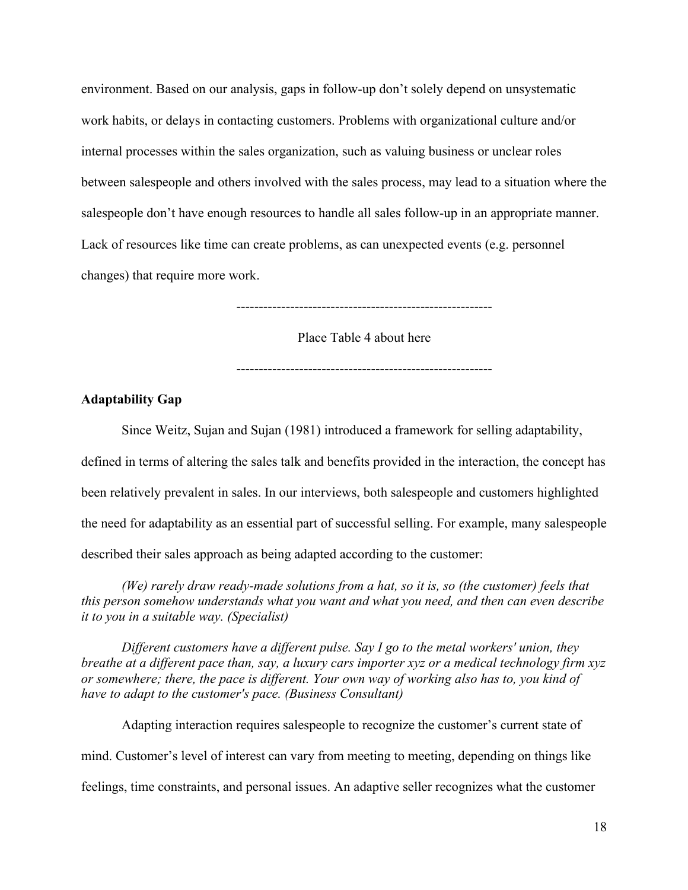environment. Based on our analysis, gaps in follow-up don't solely depend on unsystematic work habits, or delays in contacting customers. Problems with organizational culture and/or internal processes within the sales organization, such as valuing business or unclear roles between salespeople and others involved with the sales process, may lead to a situation where the salespeople don't have enough resources to handle all sales follow-up in an appropriate manner. Lack of resources like time can create problems, as can unexpected events (e.g. personnel changes) that require more work.

---------------------------------------------------------

Place Table 4 about here

---------------------------------------------------------

**Adaptability Gap**

Since Weitz, Sujan and Sujan (1981) introduced a framework for selling adaptability,

defined in terms of altering the sales talk and benefits provided in the interaction, the concept has been relatively prevalent in sales. In our interviews, both salespeople and customers highlighted the need for adaptability as an essential part of successful selling. For example, many salespeople described their sales approach as being adapted according to the customer:

*(We) rarely draw ready-made solutions from a hat, so it is, so (the customer) feels that this person somehow understands what you want and what you need, and then can even describe it to you in a suitable way. (Specialist)* 

*Different customers have a different pulse. Say I go to the metal workers' union, they breathe at a different pace than, say, a luxury cars importer xyz or a medical technology firm xyz or somewhere; there, the pace is different. Your own way of working also has to, you kind of have to adapt to the customer's pace. (Business Consultant)*

Adapting interaction requires salespeople to recognize the customer's current state of mind. Customer's level of interest can vary from meeting to meeting, depending on things like feelings, time constraints, and personal issues. An adaptive seller recognizes what the customer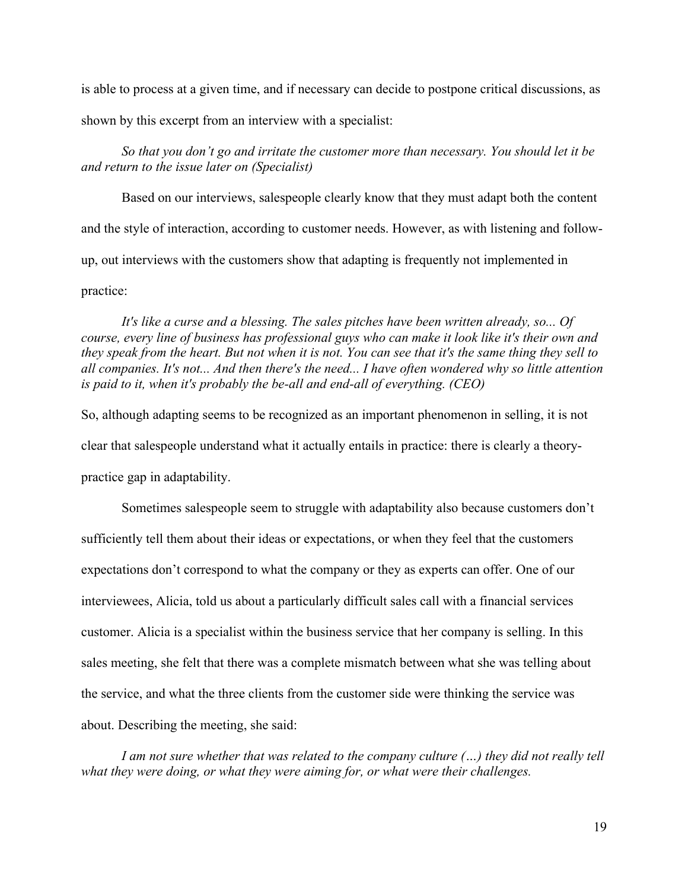is able to process at a given time, and if necessary can decide to postpone critical discussions, as

shown by this excerpt from an interview with a specialist:

*So that you don't go and irritate the customer more than necessary. You should let it be and return to the issue later on (Specialist)*

Based on our interviews, salespeople clearly know that they must adapt both the content and the style of interaction, according to customer needs. However, as with listening and followup, out interviews with the customers show that adapting is frequently not implemented in practice:

*It's like a curse and a blessing. The sales pitches have been written already, so... Of course, every line of business has professional guys who can make it look like it's their own and they speak from the heart. But not when it is not. You can see that it's the same thing they sell to all companies. It's not... And then there's the need... I have often wondered why so little attention is paid to it, when it's probably the be-all and end-all of everything. (CEO)*

So, although adapting seems to be recognized as an important phenomenon in selling, it is not clear that salespeople understand what it actually entails in practice: there is clearly a theorypractice gap in adaptability.

Sometimes salespeople seem to struggle with adaptability also because customers don't sufficiently tell them about their ideas or expectations, or when they feel that the customers expectations don't correspond to what the company or they as experts can offer. One of our interviewees, Alicia, told us about a particularly difficult sales call with a financial services customer. Alicia is a specialist within the business service that her company is selling. In this sales meeting, she felt that there was a complete mismatch between what she was telling about the service, and what the three clients from the customer side were thinking the service was about. Describing the meeting, she said:

*I am not sure whether that was related to the company culture (...) they did not really tell what they were doing, or what they were aiming for, or what were their challenges.*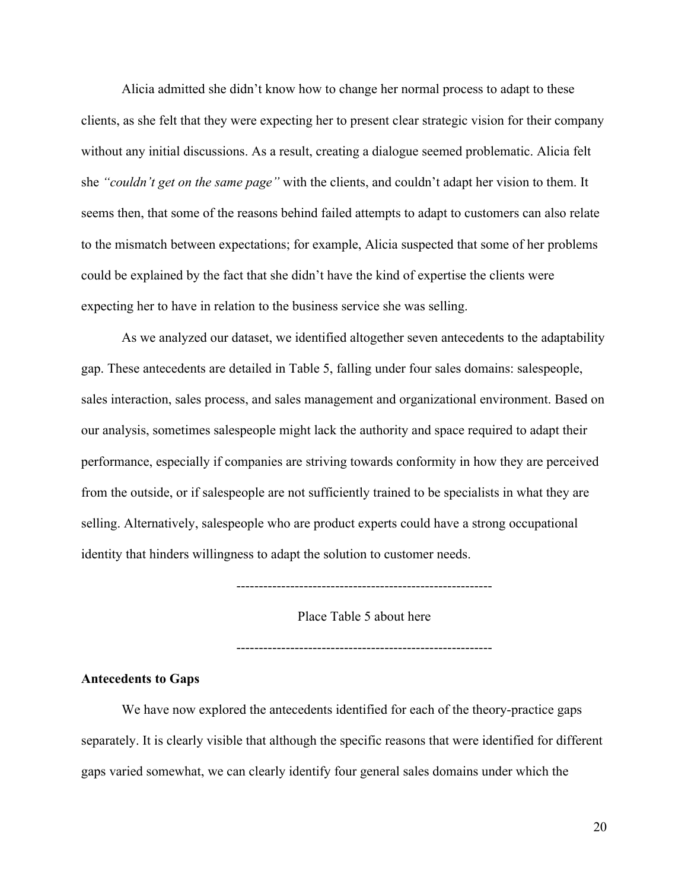Alicia admitted she didn't know how to change her normal process to adapt to these clients, as she felt that they were expecting her to present clear strategic vision for their company without any initial discussions. As a result, creating a dialogue seemed problematic. Alicia felt she *"couldn't get on the same page"* with the clients, and couldn't adapt her vision to them. It seems then, that some of the reasons behind failed attempts to adapt to customers can also relate to the mismatch between expectations; for example, Alicia suspected that some of her problems could be explained by the fact that she didn't have the kind of expertise the clients were expecting her to have in relation to the business service she was selling.

As we analyzed our dataset, we identified altogether seven antecedents to the adaptability gap. These antecedents are detailed in Table 5, falling under four sales domains: salespeople, sales interaction, sales process, and sales management and organizational environment. Based on our analysis, sometimes salespeople might lack the authority and space required to adapt their performance, especially if companies are striving towards conformity in how they are perceived from the outside, or if salespeople are not sufficiently trained to be specialists in what they are selling. Alternatively, salespeople who are product experts could have a strong occupational identity that hinders willingness to adapt the solution to customer needs.

Place Table 5 about here

---------------------------------------------------------

---------------------------------------------------------

**Antecedents to Gaps** 

We have now explored the antecedents identified for each of the theory-practice gaps separately. It is clearly visible that although the specific reasons that were identified for different gaps varied somewhat, we can clearly identify four general sales domains under which the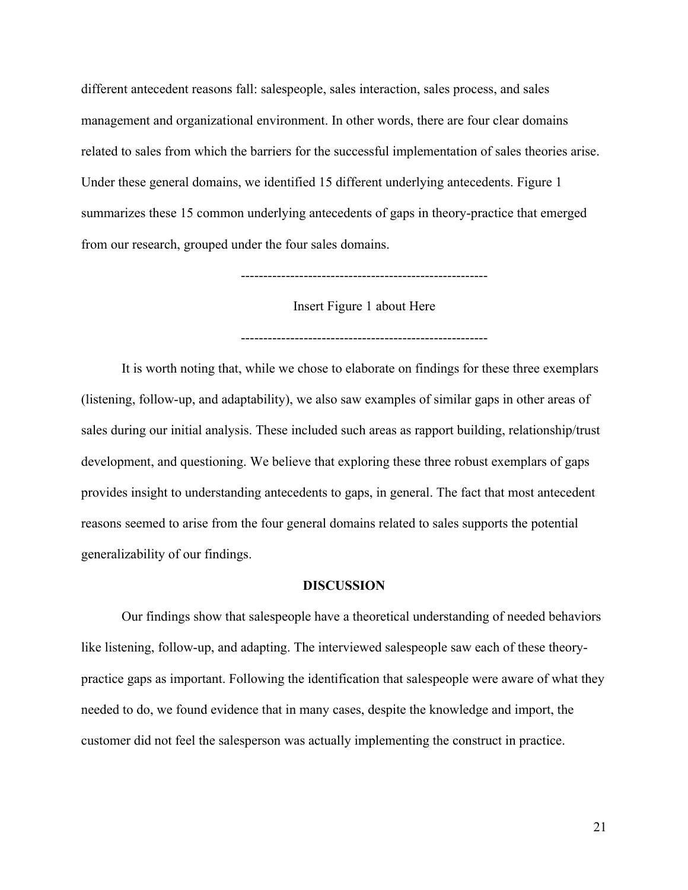different antecedent reasons fall: salespeople, sales interaction, sales process, and sales management and organizational environment. In other words, there are four clear domains related to sales from which the barriers for the successful implementation of sales theories arise. Under these general domains, we identified 15 different underlying antecedents. Figure 1 summarizes these 15 common underlying antecedents of gaps in theory-practice that emerged from our research, grouped under the four sales domains.

-------------------------------------------------------

Insert Figure 1 about Here

-------------------------------------------------------

It is worth noting that, while we chose to elaborate on findings for these three exemplars (listening, follow-up, and adaptability), we also saw examples of similar gaps in other areas of sales during our initial analysis. These included such areas as rapport building, relationship/trust development, and questioning. We believe that exploring these three robust exemplars of gaps provides insight to understanding antecedents to gaps, in general. The fact that most antecedent reasons seemed to arise from the four general domains related to sales supports the potential generalizability of our findings.

#### **DISCUSSION**

Our findings show that salespeople have a theoretical understanding of needed behaviors like listening, follow-up, and adapting. The interviewed salespeople saw each of these theorypractice gaps as important. Following the identification that salespeople were aware of what they needed to do, we found evidence that in many cases, despite the knowledge and import, the customer did not feel the salesperson was actually implementing the construct in practice.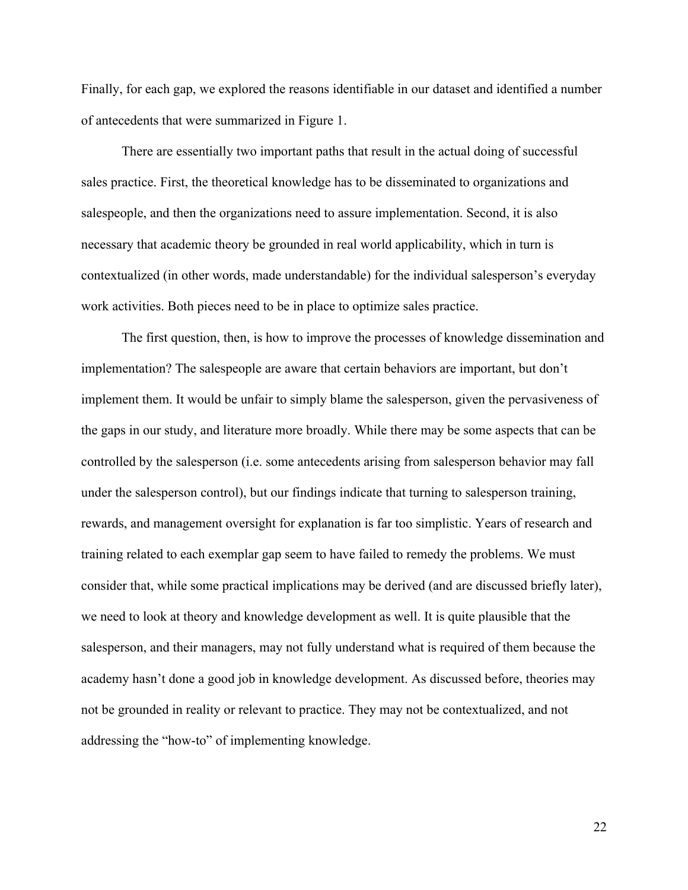Finally, for each gap, we explored the reasons identifiable in our dataset and identified a number of antecedents that were summarized in Figure 1.

There are essentially two important paths that result in the actual doing of successful sales practice. First, the theoretical knowledge has to be disseminated to organizations and salespeople, and then the organizations need to assure implementation. Second, it is also necessary that academic theory be grounded in real world applicability, which in turn is contextualized (in other words, made understandable) for the individual salesperson's everyday work activities. Both pieces need to be in place to optimize sales practice.

The first question, then, is how to improve the processes of knowledge dissemination and implementation? The salespeople are aware that certain behaviors are important, but don't implement them. It would be unfair to simply blame the salesperson, given the pervasiveness of the gaps in our study, and literature more broadly. While there may be some aspects that can be controlled by the salesperson (i.e. some antecedents arising from salesperson behavior may fall under the salesperson control), but our findings indicate that turning to salesperson training, rewards, and management oversight for explanation is far too simplistic. Years of research and training related to each exemplar gap seem to have failed to remedy the problems. We must consider that, while some practical implications may be derived (and are discussed briefly later), we need to look at theory and knowledge development as well. It is quite plausible that the salesperson, and their managers, may not fully understand what is required of them because the academy hasn't done a good job in knowledge development. As discussed before, theories may not be grounded in reality or relevant to practice. They may not be contextualized, and not addressing the "how-to" of implementing knowledge.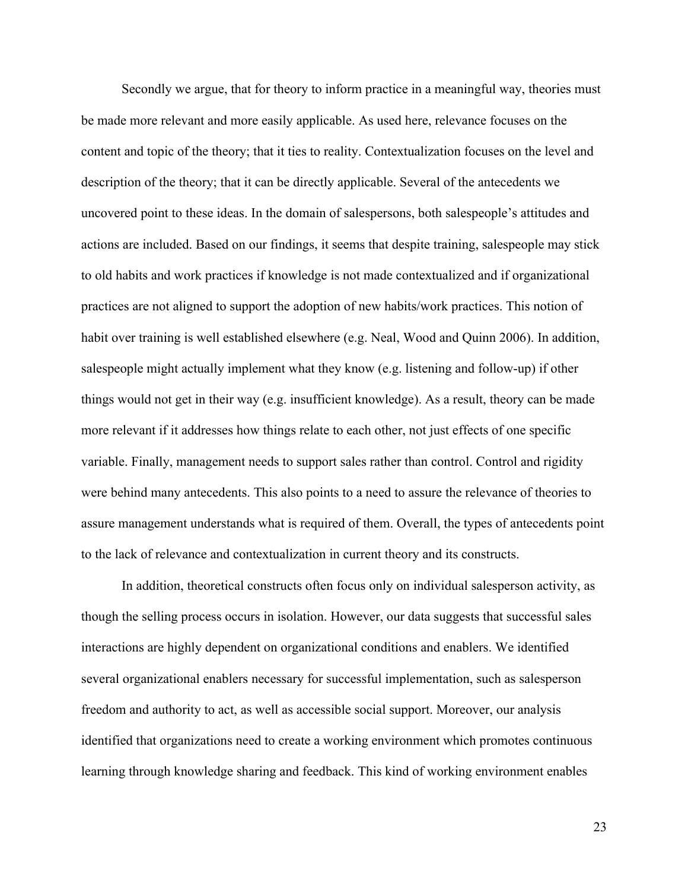Secondly we argue, that for theory to inform practice in a meaningful way, theories must be made more relevant and more easily applicable. As used here, relevance focuses on the content and topic of the theory; that it ties to reality. Contextualization focuses on the level and description of the theory; that it can be directly applicable. Several of the antecedents we uncovered point to these ideas. In the domain of salespersons, both salespeople's attitudes and actions are included. Based on our findings, it seems that despite training, salespeople may stick to old habits and work practices if knowledge is not made contextualized and if organizational practices are not aligned to support the adoption of new habits/work practices. This notion of habit over training is well established elsewhere (e.g. Neal, Wood and Quinn 2006). In addition, salespeople might actually implement what they know (e.g. listening and follow-up) if other things would not get in their way (e.g. insufficient knowledge). As a result, theory can be made more relevant if it addresses how things relate to each other, not just effects of one specific variable. Finally, management needs to support sales rather than control. Control and rigidity were behind many antecedents. This also points to a need to assure the relevance of theories to assure management understands what is required of them. Overall, the types of antecedents point to the lack of relevance and contextualization in current theory and its constructs.

In addition, theoretical constructs often focus only on individual salesperson activity, as though the selling process occurs in isolation. However, our data suggests that successful sales interactions are highly dependent on organizational conditions and enablers. We identified several organizational enablers necessary for successful implementation, such as salesperson freedom and authority to act, as well as accessible social support. Moreover, our analysis identified that organizations need to create a working environment which promotes continuous learning through knowledge sharing and feedback. This kind of working environment enables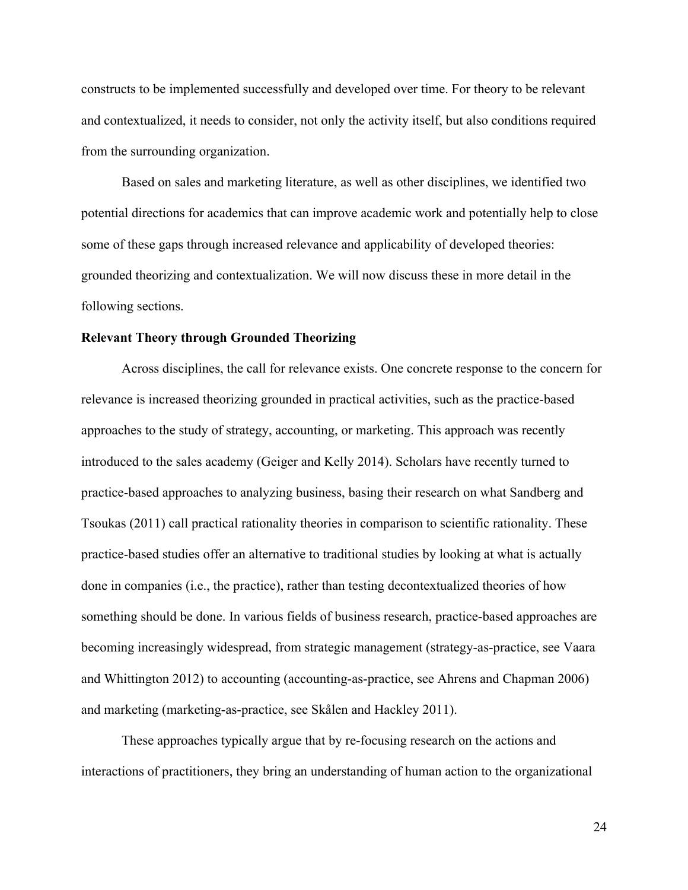constructs to be implemented successfully and developed over time. For theory to be relevant and contextualized, it needs to consider, not only the activity itself, but also conditions required from the surrounding organization.

Based on sales and marketing literature, as well as other disciplines, we identified two potential directions for academics that can improve academic work and potentially help to close some of these gaps through increased relevance and applicability of developed theories: grounded theorizing and contextualization. We will now discuss these in more detail in the following sections.

#### **Relevant Theory through Grounded Theorizing**

Across disciplines, the call for relevance exists. One concrete response to the concern for relevance is increased theorizing grounded in practical activities, such as the practice-based approaches to the study of strategy, accounting, or marketing. This approach was recently introduced to the sales academy (Geiger and Kelly 2014). Scholars have recently turned to practice-based approaches to analyzing business, basing their research on what Sandberg and Tsoukas (2011) call practical rationality theories in comparison to scientific rationality. These practice-based studies offer an alternative to traditional studies by looking at what is actually done in companies (i.e., the practice), rather than testing decontextualized theories of how something should be done. In various fields of business research, practice-based approaches are becoming increasingly widespread, from strategic management (strategy-as-practice, see Vaara and Whittington 2012) to accounting (accounting-as-practice, see Ahrens and Chapman 2006) and marketing (marketing-as-practice, see Skålen and Hackley 2011).

These approaches typically argue that by re-focusing research on the actions and interactions of practitioners, they bring an understanding of human action to the organizational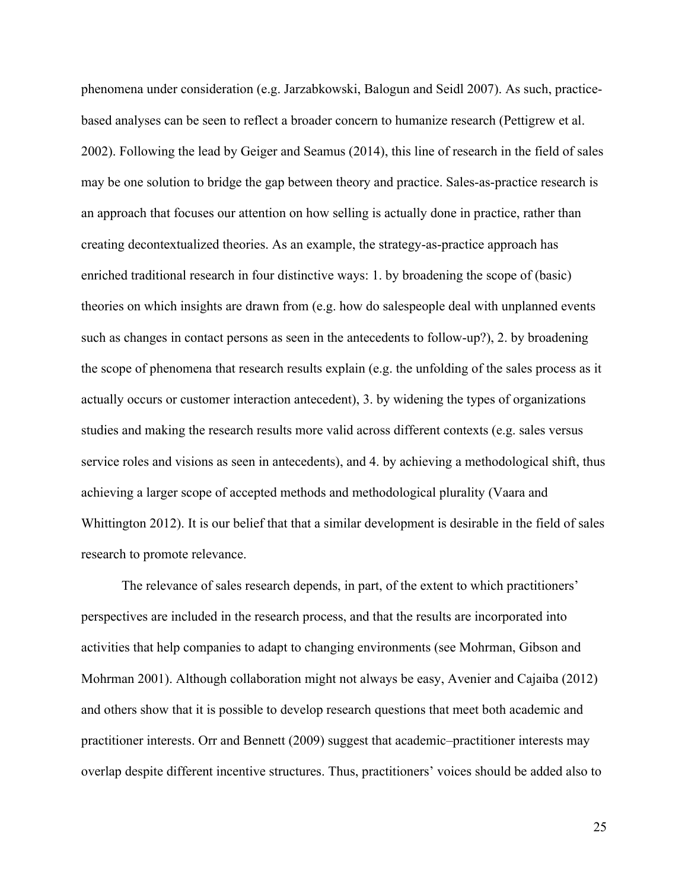phenomena under consideration (e.g. Jarzabkowski, Balogun and Seidl 2007). As such, practicebased analyses can be seen to reflect a broader concern to humanize research (Pettigrew et al. 2002). Following the lead by Geiger and Seamus (2014), this line of research in the field of sales may be one solution to bridge the gap between theory and practice. Sales-as-practice research is an approach that focuses our attention on how selling is actually done in practice, rather than creating decontextualized theories. As an example, the strategy-as-practice approach has enriched traditional research in four distinctive ways: 1. by broadening the scope of (basic) theories on which insights are drawn from (e.g. how do salespeople deal with unplanned events such as changes in contact persons as seen in the antecedents to follow-up?), 2. by broadening the scope of phenomena that research results explain (e.g. the unfolding of the sales process as it actually occurs or customer interaction antecedent), 3. by widening the types of organizations studies and making the research results more valid across different contexts (e.g. sales versus service roles and visions as seen in antecedents), and 4. by achieving a methodological shift, thus achieving a larger scope of accepted methods and methodological plurality (Vaara and Whittington 2012). It is our belief that that a similar development is desirable in the field of sales research to promote relevance.

The relevance of sales research depends, in part, of the extent to which practitioners' perspectives are included in the research process, and that the results are incorporated into activities that help companies to adapt to changing environments (see Mohrman, Gibson and Mohrman 2001). Although collaboration might not always be easy, Avenier and Cajaiba (2012) and others show that it is possible to develop research questions that meet both academic and practitioner interests. Orr and Bennett (2009) suggest that academic–practitioner interests may overlap despite different incentive structures. Thus, practitioners' voices should be added also to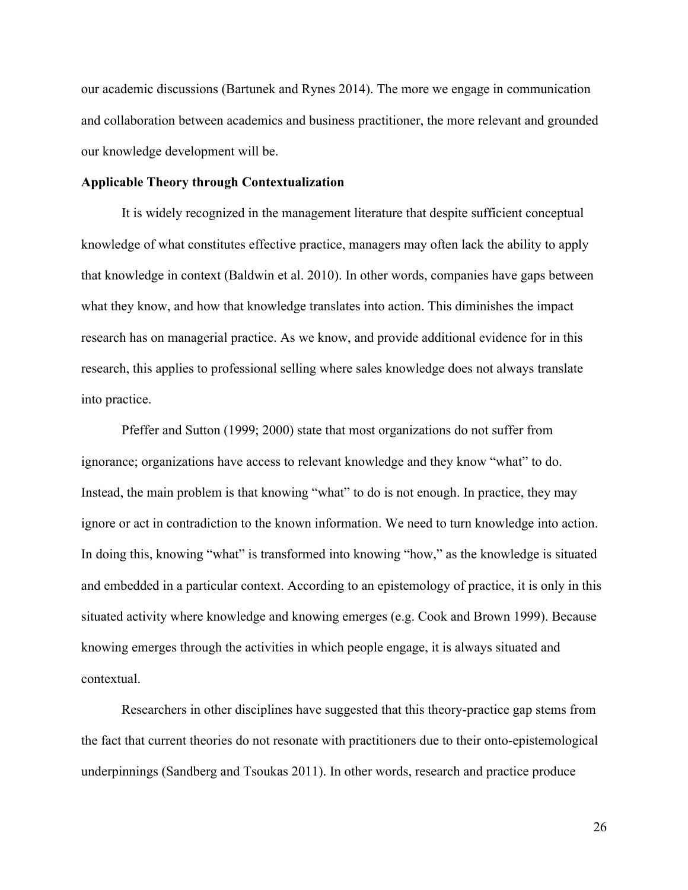our academic discussions (Bartunek and Rynes 2014). The more we engage in communication and collaboration between academics and business practitioner, the more relevant and grounded our knowledge development will be.

#### **Applicable Theory through Contextualization**

It is widely recognized in the management literature that despite sufficient conceptual knowledge of what constitutes effective practice, managers may often lack the ability to apply that knowledge in context (Baldwin et al. 2010). In other words, companies have gaps between what they know, and how that knowledge translates into action. This diminishes the impact research has on managerial practice. As we know, and provide additional evidence for in this research, this applies to professional selling where sales knowledge does not always translate into practice.

Pfeffer and Sutton (1999; 2000) state that most organizations do not suffer from ignorance; organizations have access to relevant knowledge and they know "what" to do. Instead, the main problem is that knowing "what" to do is not enough. In practice, they may ignore or act in contradiction to the known information. We need to turn knowledge into action. In doing this, knowing "what" is transformed into knowing "how," as the knowledge is situated and embedded in a particular context. According to an epistemology of practice, it is only in this situated activity where knowledge and knowing emerges (e.g. Cook and Brown 1999). Because knowing emerges through the activities in which people engage, it is always situated and contextual.

Researchers in other disciplines have suggested that this theory-practice gap stems from the fact that current theories do not resonate with practitioners due to their onto-epistemological underpinnings (Sandberg and Tsoukas 2011). In other words, research and practice produce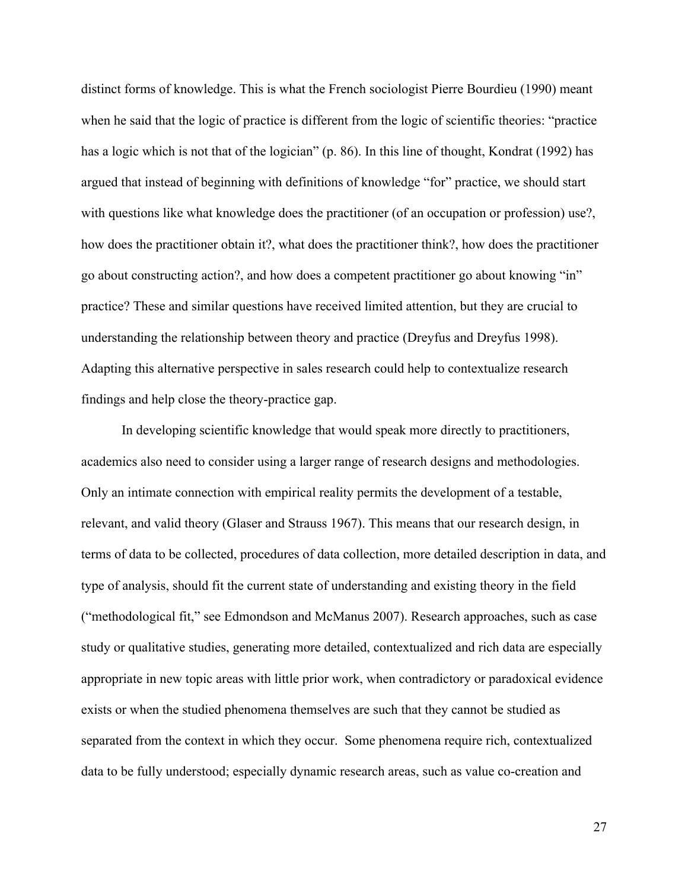distinct forms of knowledge. This is what the French sociologist Pierre Bourdieu (1990) meant when he said that the logic of practice is different from the logic of scientific theories: "practice has a logic which is not that of the logician" (p. 86). In this line of thought, Kondrat (1992) has argued that instead of beginning with definitions of knowledge "for" practice, we should start with questions like what knowledge does the practitioner (of an occupation or profession) use?, how does the practitioner obtain it?, what does the practitioner think?, how does the practitioner go about constructing action?, and how does a competent practitioner go about knowing "in" practice? These and similar questions have received limited attention, but they are crucial to understanding the relationship between theory and practice (Dreyfus and Dreyfus 1998). Adapting this alternative perspective in sales research could help to contextualize research findings and help close the theory-practice gap.

In developing scientific knowledge that would speak more directly to practitioners, academics also need to consider using a larger range of research designs and methodologies. Only an intimate connection with empirical reality permits the development of a testable, relevant, and valid theory (Glaser and Strauss 1967). This means that our research design, in terms of data to be collected, procedures of data collection, more detailed description in data, and type of analysis, should fit the current state of understanding and existing theory in the field ("methodological fit," see Edmondson and McManus 2007). Research approaches, such as case study or qualitative studies, generating more detailed, contextualized and rich data are especially appropriate in new topic areas with little prior work, when contradictory or paradoxical evidence exists or when the studied phenomena themselves are such that they cannot be studied as separated from the context in which they occur. Some phenomena require rich, contextualized data to be fully understood; especially dynamic research areas, such as value co-creation and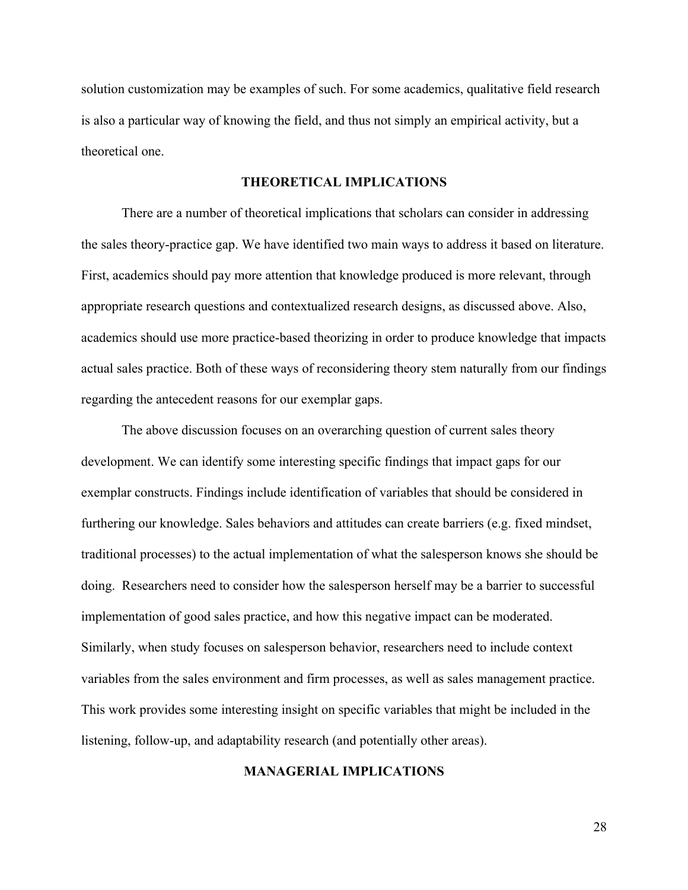solution customization may be examples of such. For some academics, qualitative field research is also a particular way of knowing the field, and thus not simply an empirical activity, but a theoretical one.

### **THEORETICAL IMPLICATIONS**

There are a number of theoretical implications that scholars can consider in addressing the sales theory-practice gap. We have identified two main ways to address it based on literature. First, academics should pay more attention that knowledge produced is more relevant, through appropriate research questions and contextualized research designs, as discussed above. Also, academics should use more practice-based theorizing in order to produce knowledge that impacts actual sales practice. Both of these ways of reconsidering theory stem naturally from our findings regarding the antecedent reasons for our exemplar gaps.

The above discussion focuses on an overarching question of current sales theory development. We can identify some interesting specific findings that impact gaps for our exemplar constructs. Findings include identification of variables that should be considered in furthering our knowledge. Sales behaviors and attitudes can create barriers (e.g. fixed mindset, traditional processes) to the actual implementation of what the salesperson knows she should be doing. Researchers need to consider how the salesperson herself may be a barrier to successful implementation of good sales practice, and how this negative impact can be moderated. Similarly, when study focuses on salesperson behavior, researchers need to include context variables from the sales environment and firm processes, as well as sales management practice. This work provides some interesting insight on specific variables that might be included in the listening, follow-up, and adaptability research (and potentially other areas).

#### **MANAGERIAL IMPLICATIONS**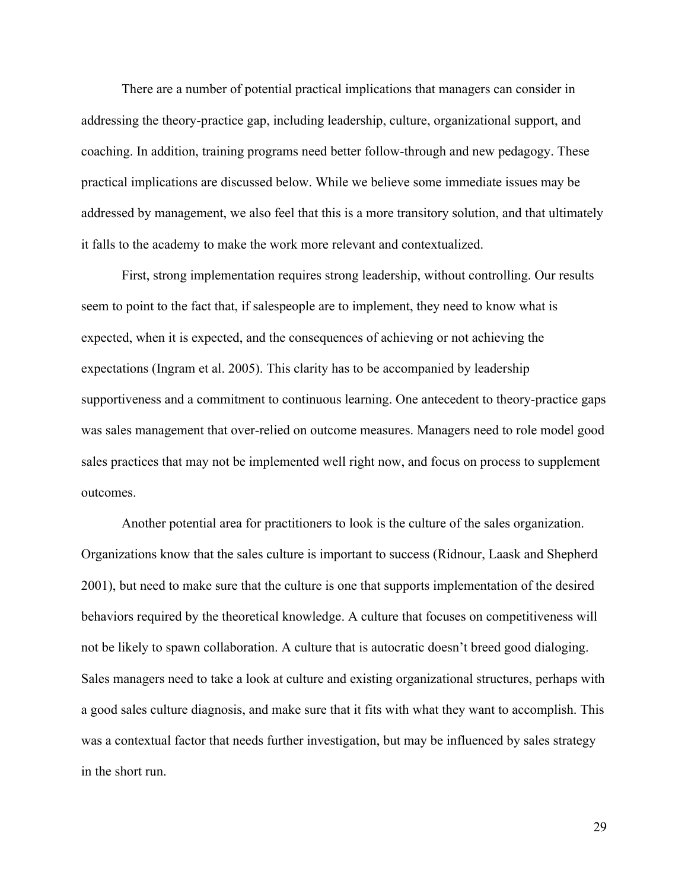There are a number of potential practical implications that managers can consider in addressing the theory-practice gap, including leadership, culture, organizational support, and coaching. In addition, training programs need better follow-through and new pedagogy. These practical implications are discussed below. While we believe some immediate issues may be addressed by management, we also feel that this is a more transitory solution, and that ultimately it falls to the academy to make the work more relevant and contextualized.

First, strong implementation requires strong leadership, without controlling. Our results seem to point to the fact that, if salespeople are to implement, they need to know what is expected, when it is expected, and the consequences of achieving or not achieving the expectations (Ingram et al. 2005). This clarity has to be accompanied by leadership supportiveness and a commitment to continuous learning. One antecedent to theory-practice gaps was sales management that over-relied on outcome measures. Managers need to role model good sales practices that may not be implemented well right now, and focus on process to supplement outcomes.

Another potential area for practitioners to look is the culture of the sales organization. Organizations know that the sales culture is important to success (Ridnour, Laask and Shepherd 2001), but need to make sure that the culture is one that supports implementation of the desired behaviors required by the theoretical knowledge. A culture that focuses on competitiveness will not be likely to spawn collaboration. A culture that is autocratic doesn't breed good dialoging. Sales managers need to take a look at culture and existing organizational structures, perhaps with a good sales culture diagnosis, and make sure that it fits with what they want to accomplish. This was a contextual factor that needs further investigation, but may be influenced by sales strategy in the short run.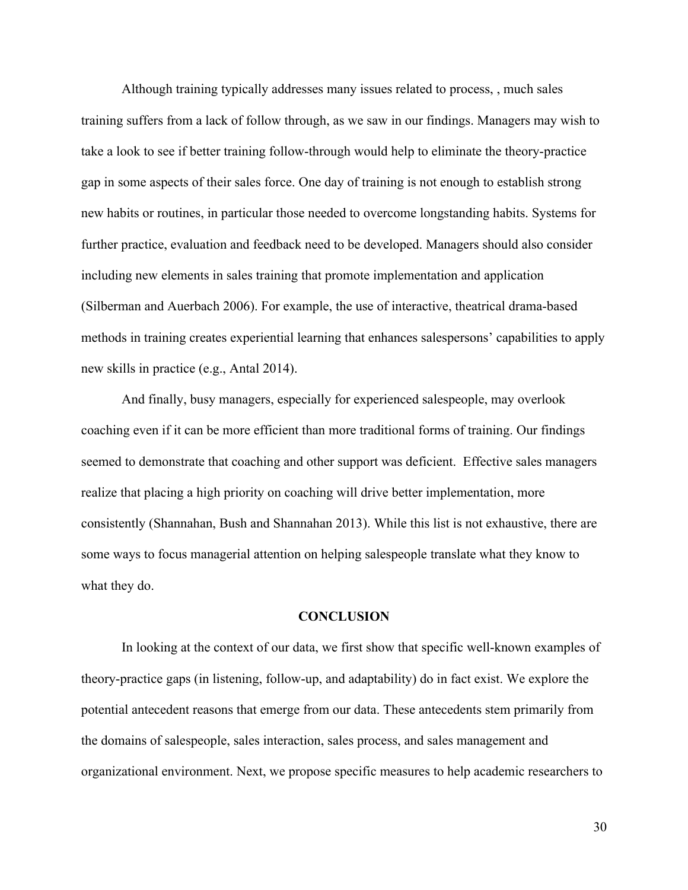Although training typically addresses many issues related to process, , much sales training suffers from a lack of follow through, as we saw in our findings. Managers may wish to take a look to see if better training follow-through would help to eliminate the theory-practice gap in some aspects of their sales force. One day of training is not enough to establish strong new habits or routines, in particular those needed to overcome longstanding habits. Systems for further practice, evaluation and feedback need to be developed. Managers should also consider including new elements in sales training that promote implementation and application (Silberman and Auerbach 2006). For example, the use of interactive, theatrical drama-based methods in training creates experiential learning that enhances salespersons' capabilities to apply new skills in practice (e.g., Antal 2014).

And finally, busy managers, especially for experienced salespeople, may overlook coaching even if it can be more efficient than more traditional forms of training. Our findings seemed to demonstrate that coaching and other support was deficient. Effective sales managers realize that placing a high priority on coaching will drive better implementation, more consistently (Shannahan, Bush and Shannahan 2013). While this list is not exhaustive, there are some ways to focus managerial attention on helping salespeople translate what they know to what they do.

#### **CONCLUSION**

In looking at the context of our data, we first show that specific well-known examples of theory-practice gaps (in listening, follow-up, and adaptability) do in fact exist. We explore the potential antecedent reasons that emerge from our data. These antecedents stem primarily from the domains of salespeople, sales interaction, sales process, and sales management and organizational environment. Next, we propose specific measures to help academic researchers to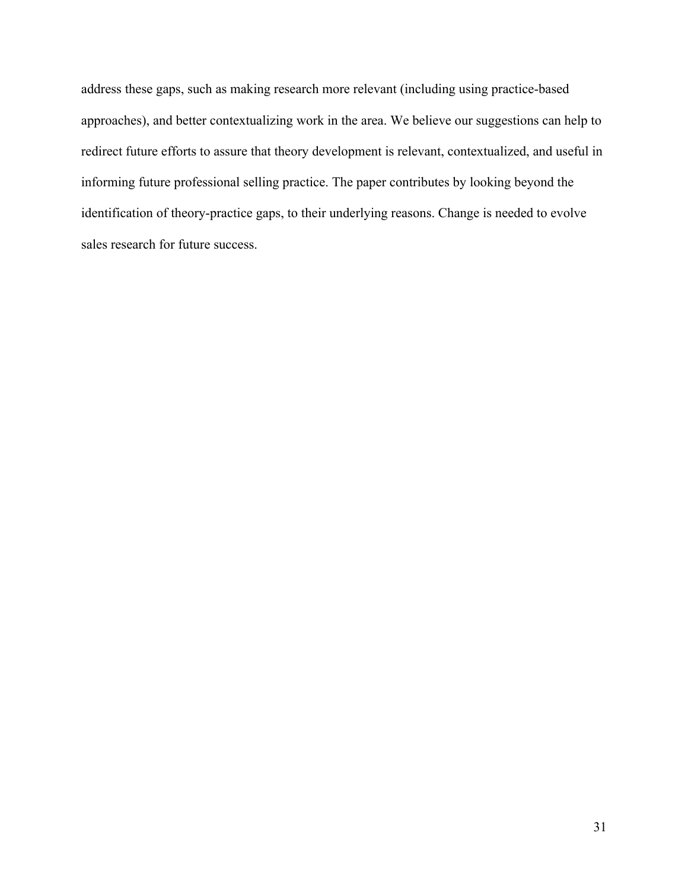address these gaps, such as making research more relevant (including using practice-based approaches), and better contextualizing work in the area. We believe our suggestions can help to redirect future efforts to assure that theory development is relevant, contextualized, and useful in informing future professional selling practice. The paper contributes by looking beyond the identification of theory-practice gaps, to their underlying reasons. Change is needed to evolve sales research for future success.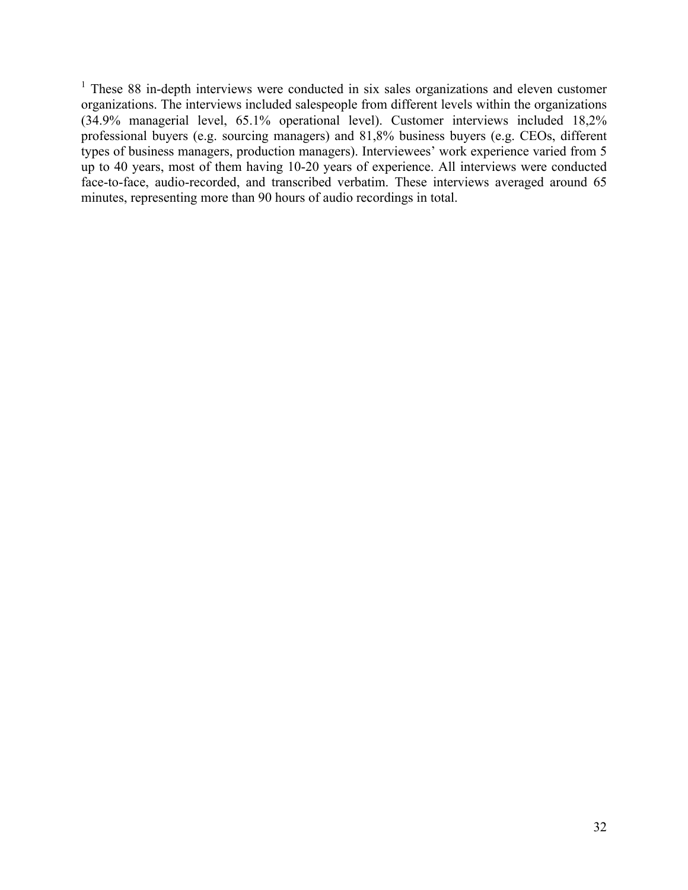<sup>1</sup> These 88 in-depth interviews were conducted in six sales organizations and eleven customer organizations. The interviews included salespeople from different levels within the organizations (34.9% managerial level, 65.1% operational level). Customer interviews included 18,2% professional buyers (e.g. sourcing managers) and 81,8% business buyers (e.g. CEOs, different types of business managers, production managers). Interviewees' work experience varied from 5 up to 40 years, most of them having 10-20 years of experience. All interviews were conducted face-to-face, audio-recorded, and transcribed verbatim. These interviews averaged around 65 minutes, representing more than 90 hours of audio recordings in total.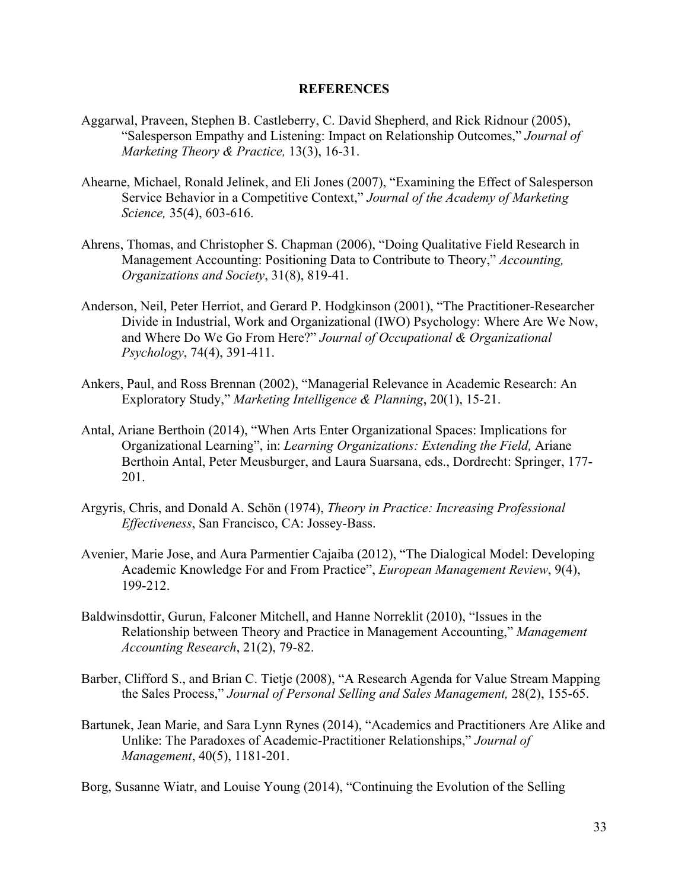#### **REFERENCES**

- Aggarwal, Praveen, Stephen B. Castleberry, C. David Shepherd, and Rick Ridnour (2005), "Salesperson Empathy and Listening: Impact on Relationship Outcomes," *Journal of Marketing Theory & Practice,* 13(3), 16-31.
- Ahearne, Michael, Ronald Jelinek, and Eli Jones (2007), "Examining the Effect of Salesperson Service Behavior in a Competitive Context," *Journal of the Academy of Marketing Science,* 35(4), 603-616.
- Ahrens, Thomas, and Christopher S. Chapman (2006), "Doing Qualitative Field Research in Management Accounting: Positioning Data to Contribute to Theory," *Accounting, Organizations and Society*, 31(8), 819-41.
- Anderson, Neil, Peter Herriot, and Gerard P. Hodgkinson (2001), "The Practitioner-Researcher Divide in Industrial, Work and Organizational (IWO) Psychology: Where Are We Now, and Where Do We Go From Here?" *Journal of Occupational & Organizational Psychology*, 74(4), 391-411.
- Ankers, Paul, and Ross Brennan (2002), "Managerial Relevance in Academic Research: An Exploratory Study," *Marketing Intelligence & Planning*, 20(1), 15-21.
- Antal, Ariane Berthoin (2014), "When Arts Enter Organizational Spaces: Implications for Organizational Learning", in: *Learning Organizations: Extending the Field,* Ariane Berthoin Antal, Peter Meusburger, and Laura Suarsana, eds., Dordrecht: Springer, 177- 201.
- Argyris, Chris, and Donald A. Schön (1974), *Theory in Practice: Increasing Professional Effectiveness*, San Francisco, CA: Jossey-Bass.
- Avenier, Marie Jose, and Aura Parmentier Cajaiba (2012), "The Dialogical Model: Developing Academic Knowledge For and From Practice", *European Management Review*, 9(4), 199-212.
- Baldwinsdottir, Gurun, Falconer Mitchell, and Hanne Norreklit (2010), "Issues in the Relationship between Theory and Practice in Management Accounting," *Management Accounting Research*, 21(2), 79-82.
- Barber, Clifford S., and Brian C. Tietje (2008), "A Research Agenda for Value Stream Mapping the Sales Process," *Journal of Personal Selling and Sales Management,* 28(2), 155-65.
- Bartunek, Jean Marie, and Sara Lynn Rynes (2014), "Academics and Practitioners Are Alike and Unlike: The Paradoxes of Academic-Practitioner Relationships," *Journal of Management*, 40(5), 1181-201.

Borg, Susanne Wiatr, and Louise Young (2014), "Continuing the Evolution of the Selling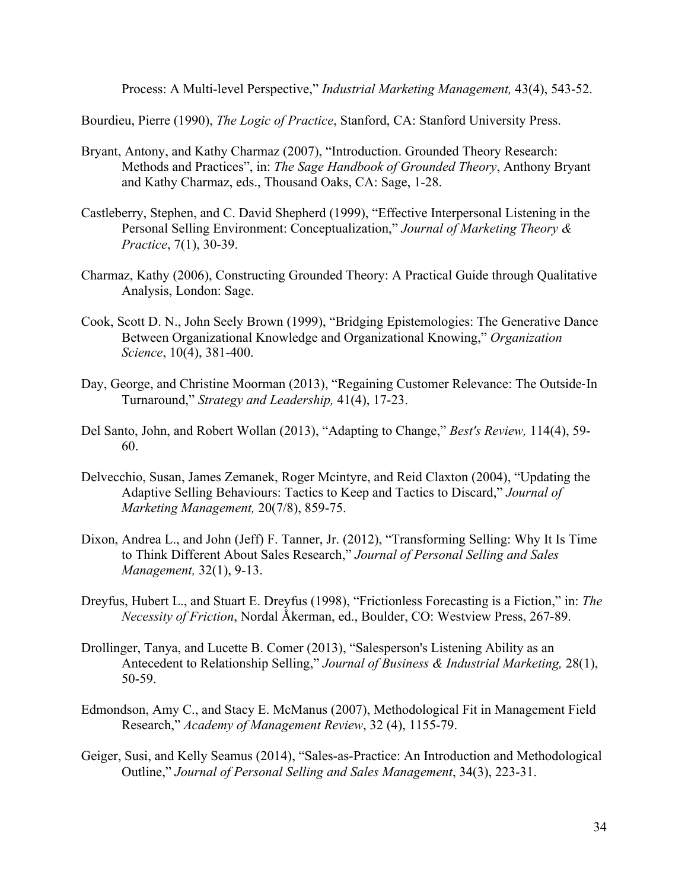Process: A Multi-level Perspective," *Industrial Marketing Management,* 43(4), 543-52.

Bourdieu, Pierre (1990), *The Logic of Practice*, Stanford, CA: Stanford University Press.

- Bryant, Antony, and Kathy Charmaz (2007), "Introduction. Grounded Theory Research: Methods and Practices", in: *The Sage Handbook of Grounded Theory*, Anthony Bryant and Kathy Charmaz, eds., Thousand Oaks, CA: Sage, 1-28.
- Castleberry, Stephen, and C. David Shepherd (1999), "Effective Interpersonal Listening in the Personal Selling Environment: Conceptualization," *Journal of Marketing Theory & Practice*, 7(1), 30-39.
- Charmaz, Kathy (2006), Constructing Grounded Theory: A Practical Guide through Qualitative Analysis, London: Sage.
- Cook, Scott D. N., John Seely Brown (1999), "Bridging Epistemologies: The Generative Dance Between Organizational Knowledge and Organizational Knowing," *Organization Science*, 10(4), 381-400.
- Day, George, and Christine Moorman (2013), "Regaining Customer Relevance: The Outside-In Turnaround," *Strategy and Leadership,* 41(4), 17-23.
- Del Santo, John, and Robert Wollan (2013), "Adapting to Change," *Best's Review,* 114(4), 59- 60.
- Delvecchio, Susan, James Zemanek, Roger Mcintyre, and Reid Claxton (2004), "Updating the Adaptive Selling Behaviours: Tactics to Keep and Tactics to Discard," *Journal of Marketing Management,* 20(7/8), 859-75.
- Dixon, Andrea L., and John (Jeff) F. Tanner, Jr. (2012), "Transforming Selling: Why It Is Time to Think Different About Sales Research," *Journal of Personal Selling and Sales Management,* 32(1), 9-13.
- Dreyfus, Hubert L., and Stuart E. Dreyfus (1998), "Frictionless Forecasting is a Fiction," in: *The Necessity of Friction*, Nordal Åkerman, ed., Boulder, CO: Westview Press, 267-89.
- Drollinger, Tanya, and Lucette B. Comer (2013), "Salesperson's Listening Ability as an Antecedent to Relationship Selling," *Journal of Business & Industrial Marketing,* 28(1), 50-59.
- Edmondson, Amy C., and Stacy E. McManus (2007), Methodological Fit in Management Field Research," *Academy of Management Review*, 32 (4), 1155-79.
- Geiger, Susi, and Kelly Seamus (2014), "Sales-as-Practice: An Introduction and Methodological Outline," *Journal of Personal Selling and Sales Management*, 34(3), 223-31.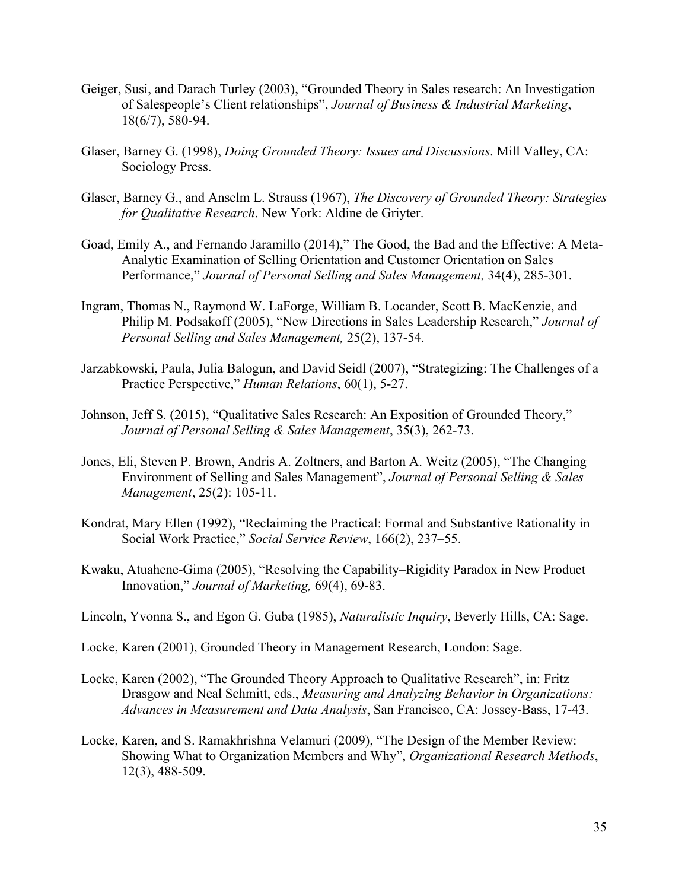- Geiger, Susi, and Darach Turley (2003), "Grounded Theory in Sales research: An Investigation of Salespeople's Client relationships", *Journal of Business & Industrial Marketing*, 18(6/7), 580-94.
- Glaser, Barney G. (1998), *Doing Grounded Theory: Issues and Discussions*. Mill Valley, CA: Sociology Press.
- Glaser, Barney G., and Anselm L. Strauss (1967), *The Discovery of Grounded Theory: Strategies for Qualitative Research*. New York: Aldine de Griyter.
- Goad, Emily A., and Fernando Jaramillo (2014)," The Good, the Bad and the Effective: A Meta-Analytic Examination of Selling Orientation and Customer Orientation on Sales Performance," *Journal of Personal Selling and Sales Management,* 34(4), 285-301.
- Ingram, Thomas N., Raymond W. LaForge, William B. Locander, Scott B. MacKenzie, and Philip M. Podsakoff (2005), "New Directions in Sales Leadership Research," *Journal of Personal Selling and Sales Management,* 25(2), 137-54.
- Jarzabkowski, Paula, Julia Balogun, and David Seidl (2007), "Strategizing: The Challenges of a Practice Perspective," *Human Relations*, 60(1), 5-27.
- Johnson, Jeff S. (2015), "Qualitative Sales Research: An Exposition of Grounded Theory," *Journal of Personal Selling & Sales Management*, 35(3), 262-73.
- Jones, Eli, Steven P. Brown, Andris A. Zoltners, and Barton A. Weitz (2005), "The Changing Environment of Selling and Sales Management", *Journal of Personal Selling & Sales Management*, 25(2): 105**-**11.
- Kondrat, Mary Ellen (1992), "Reclaiming the Practical: Formal and Substantive Rationality in Social Work Practice," *Social Service Review*, 166(2), 237–55.
- Kwaku, Atuahene-Gima (2005), "Resolving the Capability–Rigidity Paradox in New Product Innovation," *Journal of Marketing,* 69(4), 69-83.
- Lincoln, Yvonna S., and Egon G. Guba (1985), *Naturalistic Inquiry*, Beverly Hills, CA: Sage.

Locke, Karen (2001), Grounded Theory in Management Research, London: Sage.

- Locke, Karen (2002), "The Grounded Theory Approach to Qualitative Research", in: Fritz Drasgow and Neal Schmitt, eds., *Measuring and Analyzing Behavior in Organizations: Advances in Measurement and Data Analysis*, San Francisco, CA: Jossey-Bass, 17-43.
- Locke, Karen, and S. Ramakhrishna Velamuri (2009), "The Design of the Member Review: Showing What to Organization Members and Why", *Organizational Research Methods*, 12(3), 488-509.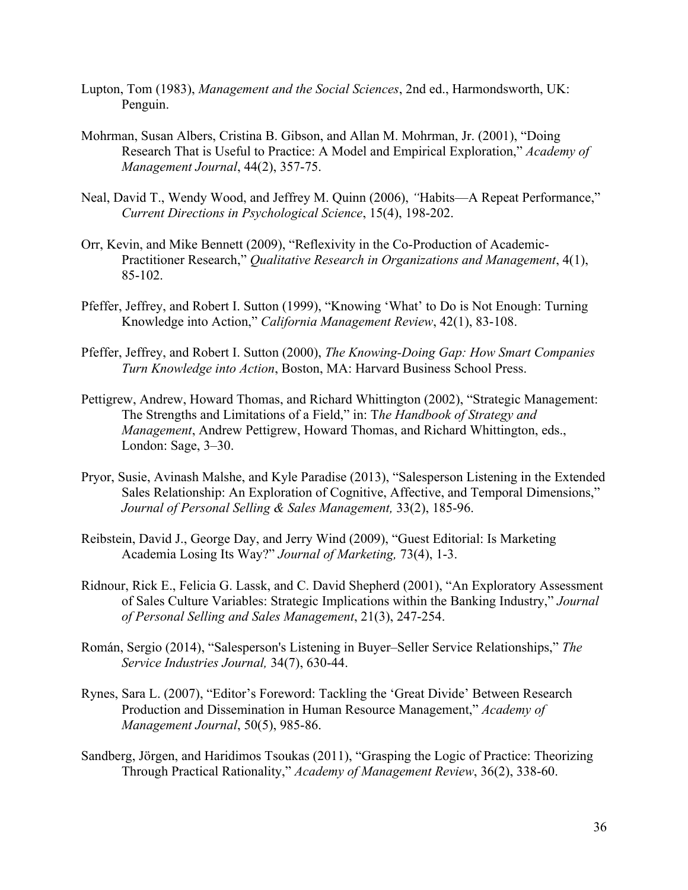- Lupton, Tom (1983), *Management and the Social Sciences*, 2nd ed., Harmondsworth, UK: Penguin.
- Mohrman, Susan Albers, Cristina B. Gibson, and Allan M. Mohrman, Jr. (2001), "Doing Research That is Useful to Practice: A Model and Empirical Exploration," *Academy of Management Journal*, 44(2), 357-75.
- Neal, David T., Wendy Wood, and Jeffrey M. Quinn (2006), *"*Habits—A Repeat Performance," *Current Directions in Psychological Science*, 15(4), 198-202.
- Orr, Kevin, and Mike Bennett (2009), "Reflexivity in the Co-Production of Academic-Practitioner Research," *Qualitative Research in Organizations and Management*, 4(1), 85-102.
- Pfeffer, Jeffrey, and Robert I. Sutton (1999), "Knowing 'What' to Do is Not Enough: Turning Knowledge into Action," *California Management Review*, 42(1), 83-108.
- Pfeffer, Jeffrey, and Robert I. Sutton (2000), *The Knowing-Doing Gap: How Smart Companies Turn Knowledge into Action*, Boston, MA: Harvard Business School Press.
- Pettigrew, Andrew, Howard Thomas, and Richard Whittington (2002), "Strategic Management: The Strengths and Limitations of a Field," in: T*he Handbook of Strategy and Management*, Andrew Pettigrew, Howard Thomas, and Richard Whittington, eds., London: Sage, 3–30.
- Pryor, Susie, Avinash Malshe, and Kyle Paradise (2013), "Salesperson Listening in the Extended Sales Relationship: An Exploration of Cognitive, Affective, and Temporal Dimensions," *Journal of Personal Selling & Sales Management,* 33(2), 185-96.
- Reibstein, David J., George Day, and Jerry Wind (2009), "Guest Editorial: Is Marketing Academia Losing Its Way?" *Journal of Marketing,* 73(4), 1-3.
- Ridnour, Rick E., Felicia G. Lassk, and C. David Shepherd (2001), "An Exploratory Assessment of Sales Culture Variables: Strategic Implications within the Banking Industry," *Journal of Personal Selling and Sales Management*, 21(3), 247-254.
- Román, Sergio (2014), "Salesperson's Listening in Buyer–Seller Service Relationships," *The Service Industries Journal,* 34(7), 630-44.
- Rynes, Sara L. (2007), "Editor's Foreword: Tackling the 'Great Divide' Between Research Production and Dissemination in Human Resource Management," *Academy of Management Journal*, 50(5), 985-86.
- Sandberg, Jörgen, and Haridimos Tsoukas (2011), "Grasping the Logic of Practice: Theorizing Through Practical Rationality," *Academy of Management Review*, 36(2), 338-60.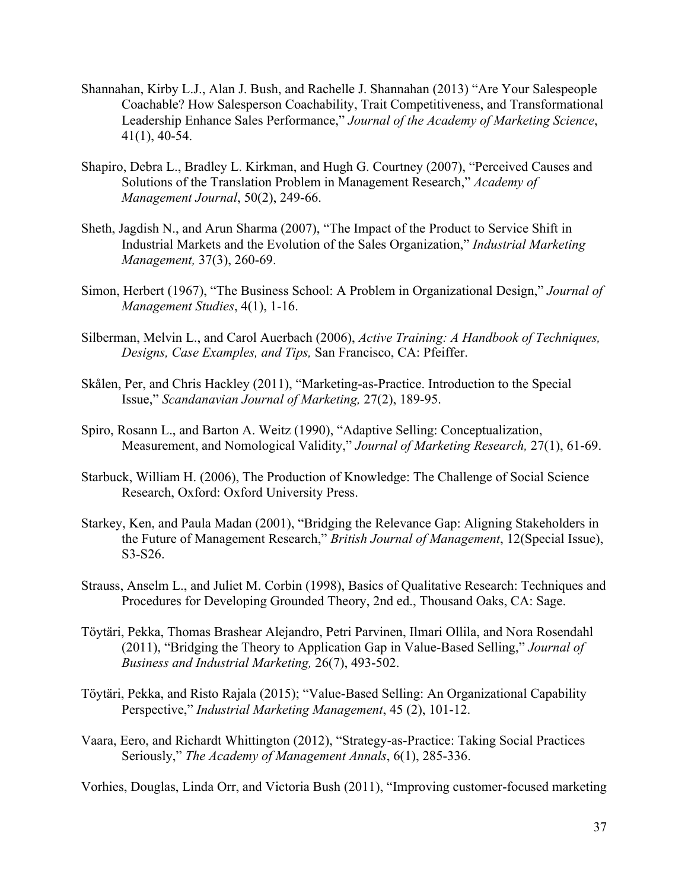- Shannahan, Kirby L.J., Alan J. Bush, and Rachelle J. Shannahan (2013) "Are Your Salespeople Coachable? How Salesperson Coachability, Trait Competitiveness, and Transformational Leadership Enhance Sales Performance," *Journal of the Academy of Marketing Science*, 41(1), 40-54.
- Shapiro, Debra L., Bradley L. Kirkman, and Hugh G. Courtney (2007), "Perceived Causes and Solutions of the Translation Problem in Management Research," *Academy of Management Journal*, 50(2), 249-66.
- Sheth, Jagdish N., and Arun Sharma (2007), "The Impact of the Product to Service Shift in Industrial Markets and the Evolution of the Sales Organization," *Industrial Marketing Management,* 37(3), 260-69.
- Simon, Herbert (1967), "The Business School: A Problem in Organizational Design," *Journal of Management Studies*, 4(1), 1-16.
- Silberman, Melvin L., and Carol Auerbach (2006), *Active Training: A Handbook of Techniques, Designs, Case Examples, and Tips,* San Francisco, CA: Pfeiffer.
- Skålen, Per, and Chris Hackley (2011), "Marketing-as-Practice. Introduction to the Special Issue," *Scandanavian Journal of Marketing,* 27(2), 189-95.
- Spiro, Rosann L., and Barton A. Weitz (1990), "Adaptive Selling: Conceptualization, Measurement, and Nomological Validity," *Journal of Marketing Research,* 27(1), 61-69.
- Starbuck, William H. (2006), The Production of Knowledge: The Challenge of Social Science Research, Oxford: Oxford University Press.
- Starkey, Ken, and Paula Madan (2001), "Bridging the Relevance Gap: Aligning Stakeholders in the Future of Management Research," *British Journal of Management*, 12(Special Issue), S3-S26.
- Strauss, Anselm L., and Juliet M. Corbin (1998), Basics of Qualitative Research: Techniques and Procedures for Developing Grounded Theory, 2nd ed., Thousand Oaks, CA: Sage.
- Töytäri, Pekka, Thomas Brashear Alejandro, Petri Parvinen, Ilmari Ollila, and Nora Rosendahl (2011), "Bridging the Theory to Application Gap in Value-Based Selling," *Journal of Business and Industrial Marketing,* 26(7), 493-502.
- Töytäri, Pekka, and Risto Rajala (2015); "Value-Based Selling: An Organizational Capability Perspective," *Industrial Marketing Management*, 45 (2), 101-12.
- Vaara, Eero, and Richardt Whittington (2012), "Strategy-as-Practice: Taking Social Practices Seriously," *The Academy of Management Annals*, 6(1), 285-336.

Vorhies, Douglas, Linda Orr, and Victoria Bush (2011), "Improving customer-focused marketing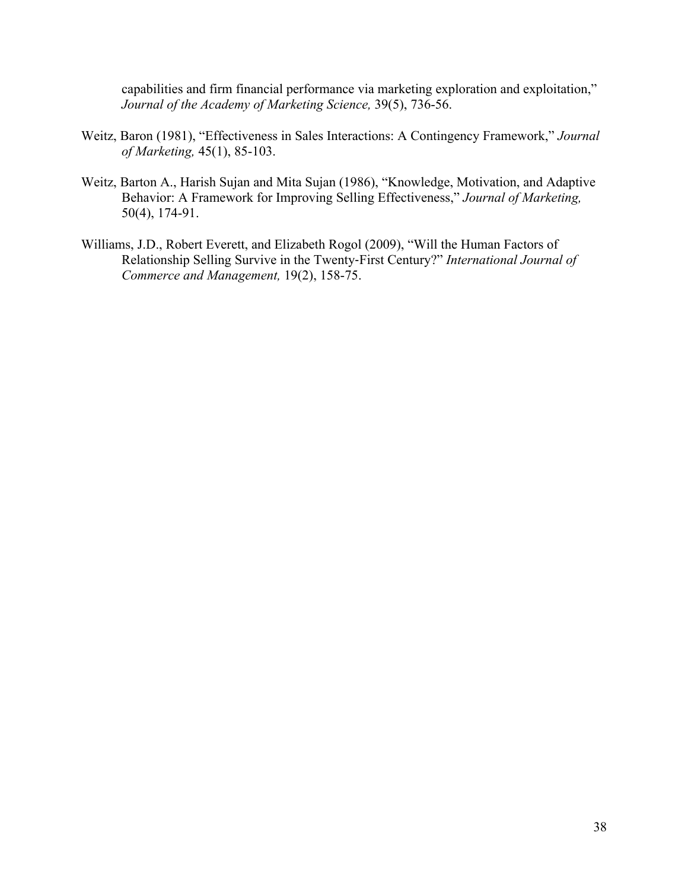capabilities and firm financial performance via marketing exploration and exploitation," *Journal of the Academy of Marketing Science,* 39(5), 736-56.

- Weitz, Baron (1981), "Effectiveness in Sales Interactions: A Contingency Framework," *Journal of Marketing,* 45(1), 85-103.
- Weitz, Barton A., Harish Sujan and Mita Sujan (1986), "Knowledge, Motivation, and Adaptive Behavior: A Framework for Improving Selling Effectiveness," *Journal of Marketing,* 50(4), 174-91.
- Williams, J.D., Robert Everett, and Elizabeth Rogol (2009), "Will the Human Factors of Relationship Selling Survive in the Twenty-First Century?" *International Journal of Commerce and Management,* 19(2), 158-75.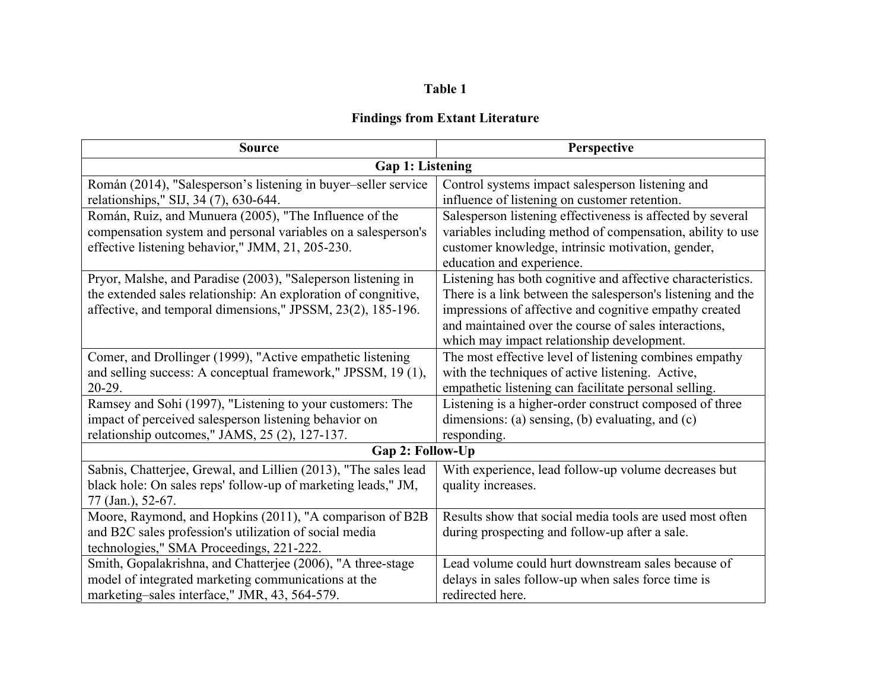# **Findings from Extant Literature**

| <b>Source</b>                                                                                                                                                                                 | Perspective                                                                                                                                                                                                                                                                                 |  |  |
|-----------------------------------------------------------------------------------------------------------------------------------------------------------------------------------------------|---------------------------------------------------------------------------------------------------------------------------------------------------------------------------------------------------------------------------------------------------------------------------------------------|--|--|
| <b>Gap 1: Listening</b>                                                                                                                                                                       |                                                                                                                                                                                                                                                                                             |  |  |
| Román (2014), "Salesperson's listening in buyer-seller service<br>relationships," SIJ, 34 (7), 630-644.                                                                                       | Control systems impact salesperson listening and<br>influence of listening on customer retention.                                                                                                                                                                                           |  |  |
| Román, Ruiz, and Munuera (2005), "The Influence of the<br>compensation system and personal variables on a salesperson's<br>effective listening behavior," JMM, 21, 205-230.                   | Salesperson listening effectiveness is affected by several<br>variables including method of compensation, ability to use<br>customer knowledge, intrinsic motivation, gender,<br>education and experience.                                                                                  |  |  |
| Pryor, Malshe, and Paradise (2003), "Saleperson listening in<br>the extended sales relationship: An exploration of congnitive,<br>affective, and temporal dimensions," JPSSM, 23(2), 185-196. | Listening has both cognitive and affective characteristics.<br>There is a link between the salesperson's listening and the<br>impressions of affective and cognitive empathy created<br>and maintained over the course of sales interactions,<br>which may impact relationship development. |  |  |
| Comer, and Drollinger (1999), "Active empathetic listening<br>and selling success: A conceptual framework," JPSSM, 19 (1),<br>20-29.                                                          | The most effective level of listening combines empathy<br>with the techniques of active listening. Active,<br>empathetic listening can facilitate personal selling.                                                                                                                         |  |  |
| Ramsey and Sohi (1997), "Listening to your customers: The<br>impact of perceived salesperson listening behavior on<br>relationship outcomes," JAMS, 25 (2), 127-137.                          | Listening is a higher-order construct composed of three<br>dimensions: (a) sensing, (b) evaluating, and (c)<br>responding.                                                                                                                                                                  |  |  |
| Gap 2: Follow-Up                                                                                                                                                                              |                                                                                                                                                                                                                                                                                             |  |  |
| Sabnis, Chatterjee, Grewal, and Lillien (2013), "The sales lead<br>black hole: On sales reps' follow-up of marketing leads," JM,<br>77 (Jan.), 52-67.                                         | With experience, lead follow-up volume decreases but<br>quality increases.                                                                                                                                                                                                                  |  |  |
| Moore, Raymond, and Hopkins (2011), "A comparison of B2B<br>and B2C sales profession's utilization of social media<br>technologies," SMA Proceedings, 221-222.                                | Results show that social media tools are used most often<br>during prospecting and follow-up after a sale.                                                                                                                                                                                  |  |  |
| Smith, Gopalakrishna, and Chatterjee (2006), "A three-stage<br>model of integrated marketing communications at the<br>marketing-sales interface," JMR, 43, 564-579.                           | Lead volume could hurt downstream sales because of<br>delays in sales follow-up when sales force time is<br>redirected here.                                                                                                                                                                |  |  |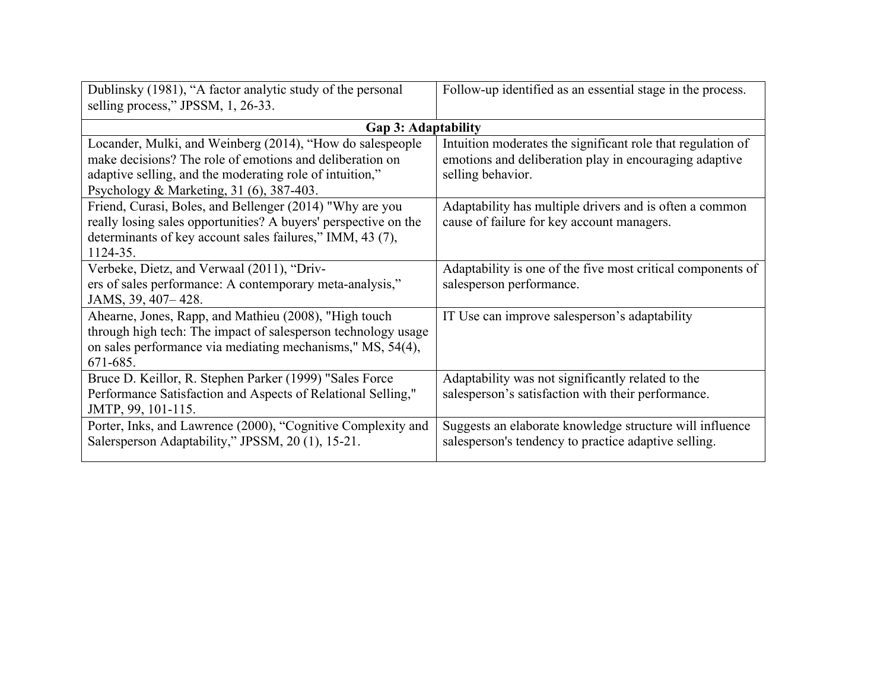| Dublinsky (1981), "A factor analytic study of the personal                                                                                                                                                                    | Follow-up identified as an essential stage in the process.                                                                                 |
|-------------------------------------------------------------------------------------------------------------------------------------------------------------------------------------------------------------------------------|--------------------------------------------------------------------------------------------------------------------------------------------|
| selling process," JPSSM, 1, 26-33.                                                                                                                                                                                            |                                                                                                                                            |
| <b>Gap 3: Adaptability</b>                                                                                                                                                                                                    |                                                                                                                                            |
| Locander, Mulki, and Weinberg (2014), "How do salespeople<br>make decisions? The role of emotions and deliberation on<br>adaptive selling, and the moderating role of intuition,"<br>Psychology & Marketing, 31 (6), 387-403. | Intuition moderates the significant role that regulation of<br>emotions and deliberation play in encouraging adaptive<br>selling behavior. |
| Friend, Curasi, Boles, and Bellenger (2014) "Why are you<br>really losing sales opportunities? A buyers' perspective on the<br>determinants of key account sales failures," IMM, 43 (7),<br>1124-35.                          | Adaptability has multiple drivers and is often a common<br>cause of failure for key account managers.                                      |
| Verbeke, Dietz, and Verwaal (2011), "Driv-<br>ers of sales performance: A contemporary meta-analysis,"<br>JAMS, 39, 407-428.                                                                                                  | Adaptability is one of the five most critical components of<br>salesperson performance.                                                    |
| Ahearne, Jones, Rapp, and Mathieu (2008), "High touch<br>through high tech: The impact of salesperson technology usage<br>on sales performance via mediating mechanisms," MS, 54(4),<br>671-685.                              | IT Use can improve salesperson's adaptability                                                                                              |
| Bruce D. Keillor, R. Stephen Parker (1999) "Sales Force<br>Performance Satisfaction and Aspects of Relational Selling,"<br>JMTP, 99, 101-115.                                                                                 | Adaptability was not significantly related to the<br>salesperson's satisfaction with their performance.                                    |
| Porter, Inks, and Lawrence (2000), "Cognitive Complexity and<br>Salersperson Adaptability," JPSSM, 20 (1), 15-21.                                                                                                             | Suggests an elaborate knowledge structure will influence<br>salesperson's tendency to practice adaptive selling.                           |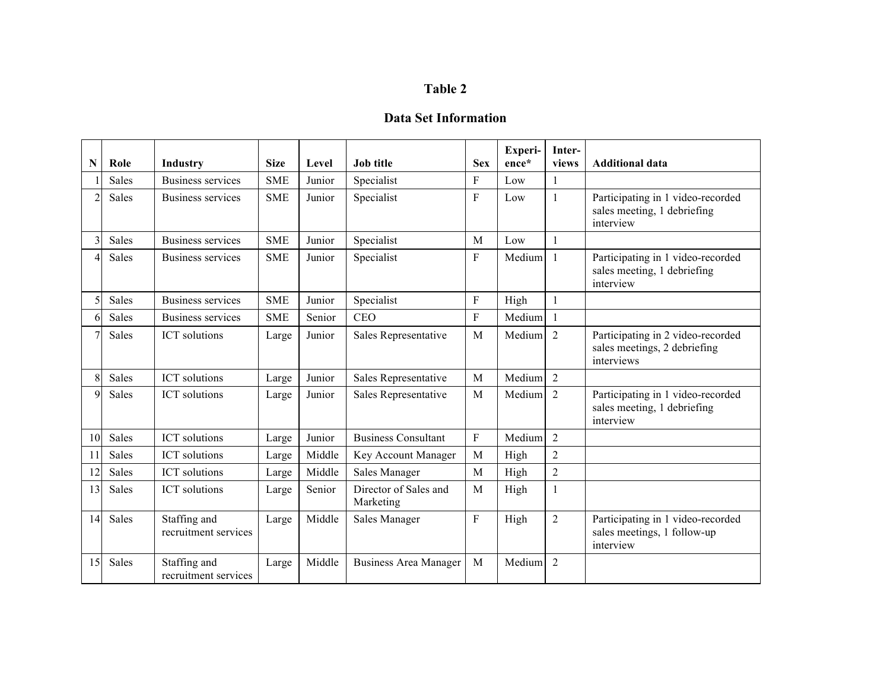### **Data Set Information**

| N  | Role         | <b>Industry</b>                      | <b>Size</b> | Level  | Job title                          | <b>Sex</b>     | Experi-<br>ence* | Inter-<br>views | <b>Additional data</b>                                                          |
|----|--------------|--------------------------------------|-------------|--------|------------------------------------|----------------|------------------|-----------------|---------------------------------------------------------------------------------|
|    | <b>Sales</b> | <b>Business services</b>             | <b>SME</b>  | Junior | Specialist                         | ${\bf F}$      | Low              | 1               |                                                                                 |
|    | <b>Sales</b> | <b>Business services</b>             | <b>SME</b>  | Junior | Specialist                         | F              | Low              | $\mathbf{1}$    | Participating in 1 video-recorded<br>sales meeting, 1 debriefing<br>interview   |
| 3  | <b>Sales</b> | <b>Business services</b>             | <b>SME</b>  | Junior | Specialist                         | M              | Low              | $\mathbf{1}$    |                                                                                 |
|    | Sales        | Business services                    | <b>SME</b>  | Junior | Specialist                         | F              | Medium           | $\mathbf{1}$    | Participating in 1 video-recorded<br>sales meeting, 1 debriefing<br>interview   |
|    | Sales        | <b>Business services</b>             | <b>SME</b>  | Junior | Specialist                         | ${\bf F}$      | High             | $\mathbf{1}$    |                                                                                 |
| 6  | <b>Sales</b> | Business services                    | <b>SME</b>  | Senior | <b>CEO</b>                         | $\overline{F}$ | Medium           | $\mathbf{1}$    |                                                                                 |
|    | Sales        | <b>ICT</b> solutions                 | Large       | Junior | Sales Representative               | M              | Medium           | 2               | Participating in 2 video-recorded<br>sales meetings, 2 debriefing<br>interviews |
| 8  | Sales        | ICT solutions                        | Large       | Junior | Sales Representative               | M              | Medium           | $\overline{2}$  |                                                                                 |
| 9  | <b>Sales</b> | <b>ICT</b> solutions                 | Large       | Junior | Sales Representative               | M              | Medium           | 2               | Participating in 1 video-recorded<br>sales meeting, 1 debriefing<br>interview   |
| 10 | <b>Sales</b> | <b>ICT</b> solutions                 | Large       | Junior | <b>Business Consultant</b>         | ${\bf F}$      | Medium           | 2               |                                                                                 |
| 11 | <b>Sales</b> | <b>ICT</b> solutions                 | Large       | Middle | Key Account Manager                | M              | High             | $\overline{2}$  |                                                                                 |
| 12 | Sales        | ICT solutions                        | Large       | Middle | Sales Manager                      | M              | High             | $\overline{2}$  |                                                                                 |
| 13 | <b>Sales</b> | <b>ICT</b> solutions                 | Large       | Senior | Director of Sales and<br>Marketing | M              | High             | $\mathbf{1}$    |                                                                                 |
| 14 | Sales        | Staffing and<br>recruitment services | Large       | Middle | Sales Manager                      | $\rm F$        | High             | $\overline{2}$  | Participating in 1 video-recorded<br>sales meetings, 1 follow-up<br>interview   |
| 15 | Sales        | Staffing and<br>recruitment services | Large       | Middle | <b>Business Area Manager</b>       | M              | Medium           | 2               |                                                                                 |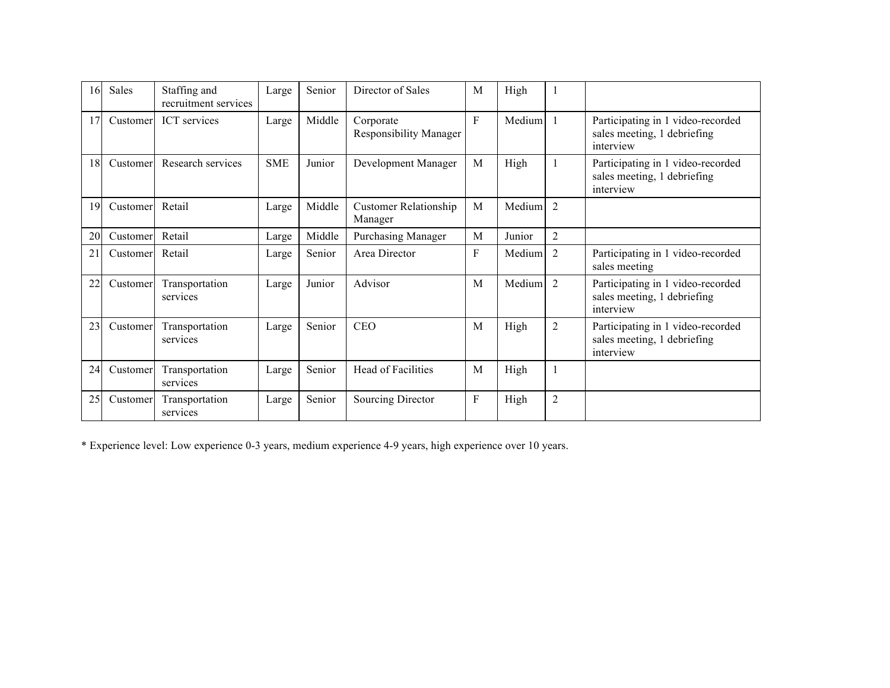| 16 | Sales    | Staffing and<br>recruitment services | Large      | Senior | Director of Sales                          | M            | High   |                |                                                                               |
|----|----------|--------------------------------------|------------|--------|--------------------------------------------|--------------|--------|----------------|-------------------------------------------------------------------------------|
| 17 | Customer | ICT services                         | Large      | Middle | Corporate<br><b>Responsibility Manager</b> | $\mathbf{F}$ | Medium |                | Participating in 1 video-recorded<br>sales meeting, 1 debriefing<br>interview |
| 18 | Customer | Research services                    | <b>SME</b> | Junior | Development Manager                        | M            | High   | $\mathbf{1}$   | Participating in 1 video-recorded<br>sales meeting, 1 debriefing<br>interview |
| 19 | Customer | Retail                               | Large      | Middle | <b>Customer Relationship</b><br>Manager    | M            | Medium | 2              |                                                                               |
| 20 | Customer | Retail                               | Large      | Middle | <b>Purchasing Manager</b>                  | M            | Junior | $\overline{2}$ |                                                                               |
| 21 | Customer | Retail                               | Large      | Senior | Area Director                              | ${\bf F}$    | Medium | 2              | Participating in 1 video-recorded<br>sales meeting                            |
| 22 | Customer | Transportation<br>services           | Large      | Junior | Advisor                                    | M            | Medium | 2              | Participating in 1 video-recorded<br>sales meeting, 1 debriefing<br>interview |
| 23 | Customer | Transportation<br>services           | Large      | Senior | <b>CEO</b>                                 | M            | High   | $\overline{2}$ | Participating in 1 video-recorded<br>sales meeting, 1 debriefing<br>interview |
| 24 | Customer | Transportation<br>services           | Large      | Senior | <b>Head of Facilities</b>                  | M            | High   | $\mathbf{1}$   |                                                                               |
| 25 | Customer | Transportation<br>services           | Large      | Senior | Sourcing Director                          | $\mathbf F$  | High   | $\overline{2}$ |                                                                               |

\* Experience level: Low experience 0-3 years, medium experience 4-9 years, high experience over 10 years.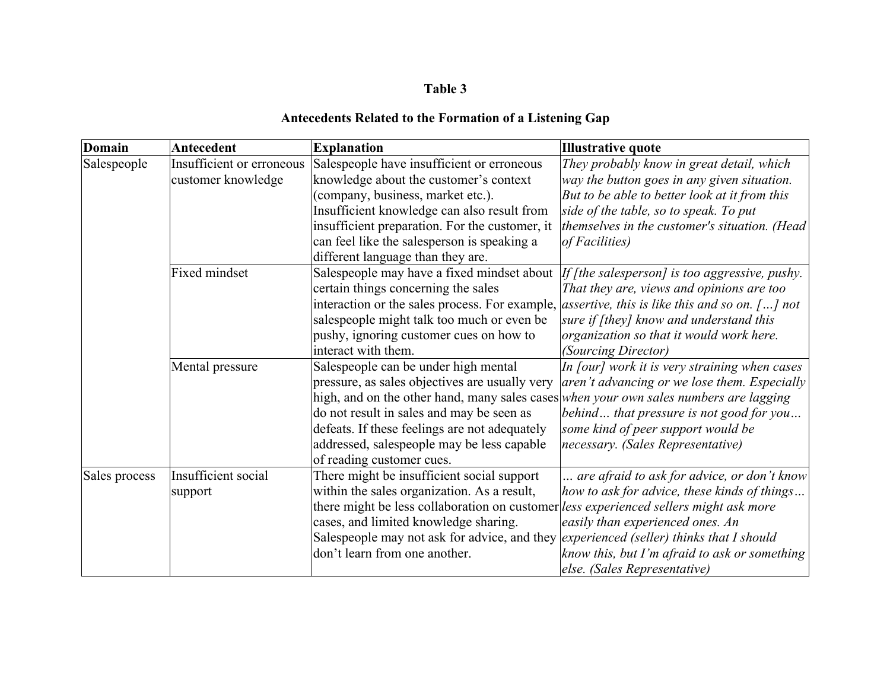# **Antecedents Related to the Formation of a Listening Gap**

| Domain        | <b>Antecedent</b>         | <b>Explanation</b>                                                                    | Illustrative quote                             |
|---------------|---------------------------|---------------------------------------------------------------------------------------|------------------------------------------------|
| Salespeople   | Insufficient or erroneous | Salespeople have insufficient or erroneous                                            | They probably know in great detail, which      |
|               | customer knowledge        | knowledge about the customer's context                                                | way the button goes in any given situation.    |
|               |                           | (company, business, market etc.).                                                     | But to be able to better look at it from this  |
|               |                           | Insufficient knowledge can also result from                                           | side of the table, so to speak. To put         |
|               |                           | insufficient preparation. For the customer, it                                        | themselves in the customer's situation. (Head  |
|               |                           | can feel like the salesperson is speaking a                                           | of Facilities)                                 |
|               |                           | different language than they are.                                                     |                                                |
|               | Fixed mindset             | Salespeople may have a fixed mindset about                                            | If [the salesperson] is too aggressive, pushy. |
|               |                           | certain things concerning the sales                                                   | That they are, views and opinions are too      |
|               |                           | interaction or the sales process. For example,                                        | assertive, this is like this and so on. [] not |
|               |                           | salespeople might talk too much or even be                                            | sure if [they] know and understand this        |
|               |                           | pushy, ignoring customer cues on how to                                               | organization so that it would work here.       |
|               |                           | interact with them.                                                                   | (Sourcing Director)                            |
|               | Mental pressure           | Salespeople can be under high mental                                                  | In [our] work it is very straining when cases  |
|               |                           | pressure, as sales objectives are usually very                                        | aren't advancing or we lose them. Especially   |
|               |                           | high, and on the other hand, many sales cases when your own sales numbers are lagging |                                                |
|               |                           | do not result in sales and may be seen as                                             | behind that pressure is not good for you       |
|               |                           | defeats. If these feelings are not adequately                                         | some kind of peer support would be             |
|               |                           | addressed, salespeople may be less capable                                            | necessary. (Sales Representative)              |
|               |                           | of reading customer cues.                                                             |                                                |
| Sales process | Insufficient social       | There might be insufficient social support                                            | are afraid to ask for advice, or don't know.   |
|               | support                   | within the sales organization. As a result,                                           | how to ask for advice, these kinds of things   |
|               |                           | there might be less collaboration on customer less experienced sellers might ask more |                                                |
|               |                           | cases, and limited knowledge sharing.                                                 | easily than experienced ones. An               |
|               |                           | Salespeople may not ask for advice, and they                                          | experienced (seller) thinks that I should      |
|               |                           | don't learn from one another.                                                         | know this, but I'm afraid to ask or something  |
|               |                           |                                                                                       | else. (Sales Representative)                   |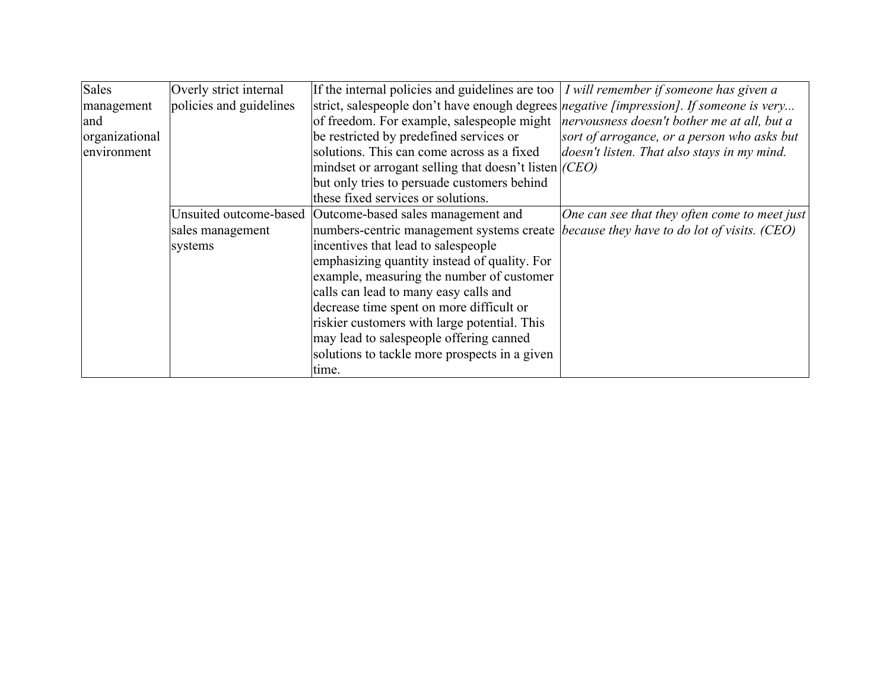| <b>Sales</b>   | Overly strict internal  | If the internal policies and guidelines are too                                                 | I will remember if someone has given a        |
|----------------|-------------------------|-------------------------------------------------------------------------------------------------|-----------------------------------------------|
| management     | policies and guidelines | strict, salespeople don't have enough degrees <i>negative [impression]</i> . If someone is very |                                               |
| and            |                         | of freedom. For example, salespeople might <i>nervousness doesn't bother me at all, but a</i>   |                                               |
| organizational |                         | be restricted by predefined services or                                                         | sort of arrogance, or a person who asks but   |
| environment    |                         | solutions. This can come across as a fixed                                                      | doesn't listen. That also stays in my mind.   |
|                |                         | mindset or arrogant selling that doesn't listen $  (CEO)$                                       |                                               |
|                |                         | but only tries to persuade customers behind                                                     |                                               |
|                |                         | these fixed services or solutions.                                                              |                                               |
|                |                         | Unsuited outcome-based   Outcome-based sales management and                                     | One can see that they often come to meet just |
|                | sales management        | numbers-centric management systems create                                                       | because they have to do lot of visits. (CEO)  |
|                | systems                 | incentives that lead to salespeople                                                             |                                               |
|                |                         | emphasizing quantity instead of quality. For                                                    |                                               |
|                |                         | example, measuring the number of customer                                                       |                                               |
|                |                         | calls can lead to many easy calls and                                                           |                                               |
|                |                         | decrease time spent on more difficult or                                                        |                                               |
|                |                         | riskier customers with large potential. This                                                    |                                               |
|                |                         | may lead to salespeople offering canned                                                         |                                               |
|                |                         | solutions to tackle more prospects in a given                                                   |                                               |
|                |                         | time.                                                                                           |                                               |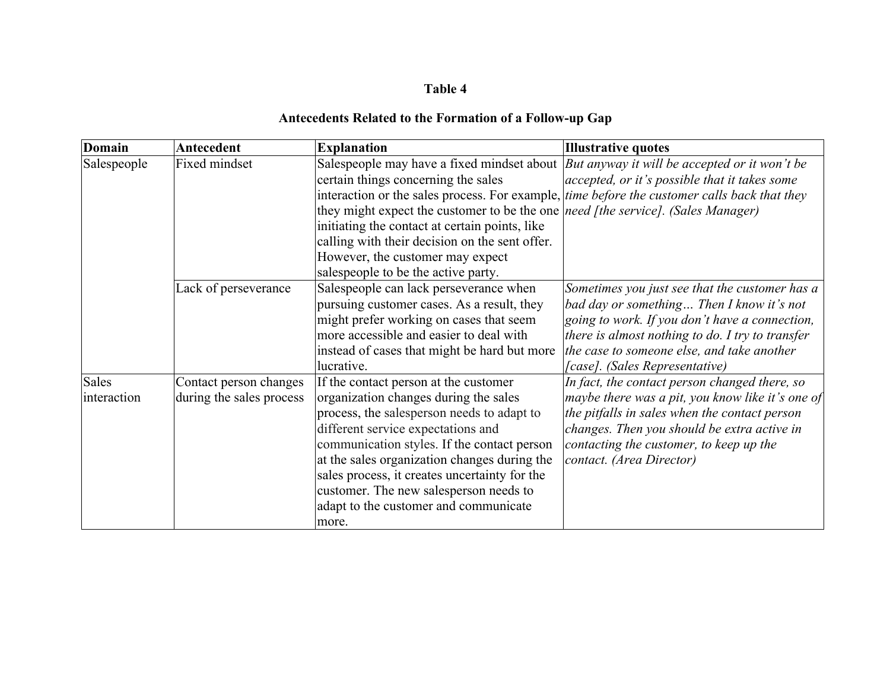# **Antecedents Related to the Formation of a Follow-up Gap**

| <b>Domain</b> | Antecedent               | <b>Explanation</b>                                                                              | <b>Illustrative quotes</b>                                                                          |
|---------------|--------------------------|-------------------------------------------------------------------------------------------------|-----------------------------------------------------------------------------------------------------|
| Salespeople   | Fixed mindset            |                                                                                                 | Salespeople may have a fixed mindset about <i>But anyway it will be accepted or it won't be</i>     |
|               |                          | certain things concerning the sales                                                             | accepted, or it's possible that it takes some                                                       |
|               |                          |                                                                                                 | interaction or the sales process. For example, <i>time before the customer calls back that they</i> |
|               |                          | they might expect the customer to be the one <i>need [the service]</i> . <i>(Sales Manager)</i> |                                                                                                     |
|               |                          | initiating the contact at certain points, like                                                  |                                                                                                     |
|               |                          | calling with their decision on the sent offer.                                                  |                                                                                                     |
|               |                          | However, the customer may expect                                                                |                                                                                                     |
|               |                          | salespeople to be the active party.                                                             |                                                                                                     |
|               | Lack of perseverance     | Salespeople can lack perseverance when                                                          | Sometimes you just see that the customer has a                                                      |
|               |                          | pursuing customer cases. As a result, they                                                      | bad day or something Then I know it's not                                                           |
|               |                          | might prefer working on cases that seem                                                         | going to work. If you don't have a connection,                                                      |
|               |                          | more accessible and easier to deal with                                                         | there is almost nothing to do. I try to transfer                                                    |
|               |                          | instead of cases that might be hard but more                                                    | the case to someone else, and take another                                                          |
|               |                          | lucrative.                                                                                      | [case]. (Sales Representative)                                                                      |
| <b>Sales</b>  | Contact person changes   | If the contact person at the customer                                                           | In fact, the contact person changed there, so                                                       |
| interaction   | during the sales process | organization changes during the sales                                                           | maybe there was a pit, you know like it's one of                                                    |
|               |                          | process, the salesperson needs to adapt to                                                      | the pitfalls in sales when the contact person                                                       |
|               |                          | different service expectations and                                                              | changes. Then you should be extra active in                                                         |
|               |                          | communication styles. If the contact person                                                     | contacting the customer, to keep up the                                                             |
|               |                          | at the sales organization changes during the                                                    | contact. (Area Director)                                                                            |
|               |                          | sales process, it creates uncertainty for the                                                   |                                                                                                     |
|               |                          | customer. The new salesperson needs to                                                          |                                                                                                     |
|               |                          | adapt to the customer and communicate                                                           |                                                                                                     |
|               |                          | more.                                                                                           |                                                                                                     |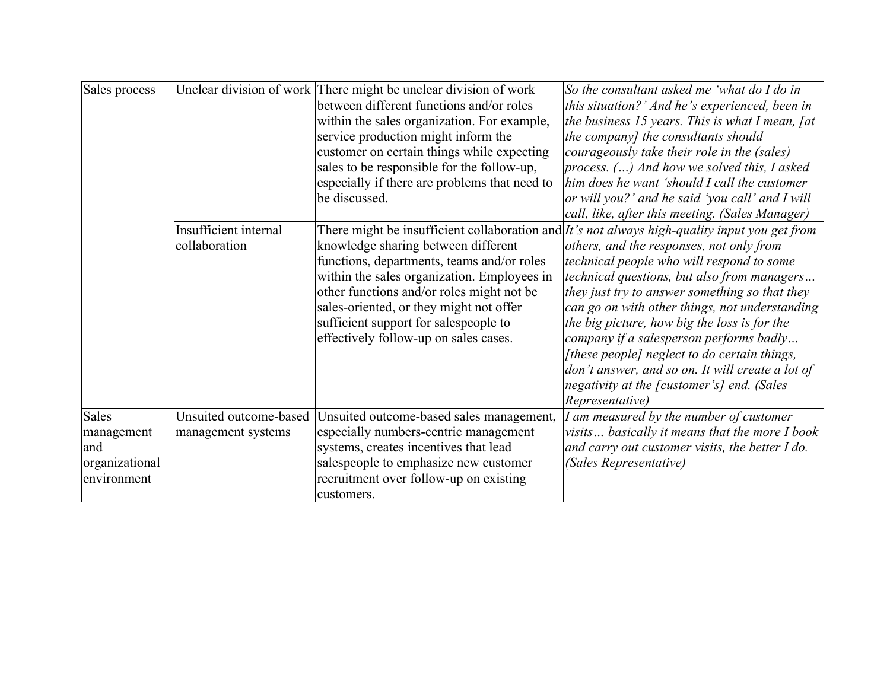| Sales process  |                        | Unclear division of work There might be unclear division of work | So the consultant asked me 'what do I do in                                                      |
|----------------|------------------------|------------------------------------------------------------------|--------------------------------------------------------------------------------------------------|
|                |                        | between different functions and/or roles                         | this situation?' And he's experienced, been in                                                   |
|                |                        | within the sales organization. For example,                      | the business $15$ years. This is what I mean, $\int$ at                                          |
|                |                        | service production might inform the                              | the company] the consultants should                                                              |
|                |                        | customer on certain things while expecting                       | courageously take their role in the (sales)                                                      |
|                |                        | sales to be responsible for the follow-up,                       | process. $()$ And how we solved this, I asked                                                    |
|                |                        | especially if there are problems that need to                    | him does he want 'should I call the customer                                                     |
|                |                        | be discussed.                                                    | or will you?' and he said 'you call' and I will                                                  |
|                |                        |                                                                  | call, like, after this meeting. (Sales Manager)                                                  |
|                | Insufficient internal  |                                                                  | There might be insufficient collaboration and $It$ 's not always high-quality input you get from |
|                | collaboration          | knowledge sharing between different                              | others, and the responses, not only from                                                         |
|                |                        | functions, departments, teams and/or roles                       | technical people who will respond to some                                                        |
|                |                        | within the sales organization. Employees in                      | technical questions, but also from managers                                                      |
|                |                        | other functions and/or roles might not be                        | they just try to answer something so that they                                                   |
|                |                        | sales-oriented, or they might not offer                          | can go on with other things, not understanding                                                   |
|                |                        | sufficient support for salespeople to                            | the big picture, how big the loss is for the                                                     |
|                |                        | effectively follow-up on sales cases.                            | company if a salesperson performs badly                                                          |
|                |                        |                                                                  | [these people] neglect to do certain things,                                                     |
|                |                        |                                                                  | don't answer, and so on. It will create a lot of                                                 |
|                |                        |                                                                  | negativity at the [customer's] end. (Sales                                                       |
|                |                        |                                                                  | Representative)                                                                                  |
| <b>Sales</b>   | Unsuited outcome-based | Unsuited outcome-based sales management,                         | I am measured by the number of customer                                                          |
| management     | management systems     | especially numbers-centric management                            | visits basically it means that the more I book                                                   |
| and            |                        | systems, creates incentives that lead                            | and carry out customer visits, the better I do.                                                  |
| organizational |                        | salespeople to emphasize new customer                            | (Sales Representative)                                                                           |
| environment    |                        | recruitment over follow-up on existing                           |                                                                                                  |
|                |                        | customers.                                                       |                                                                                                  |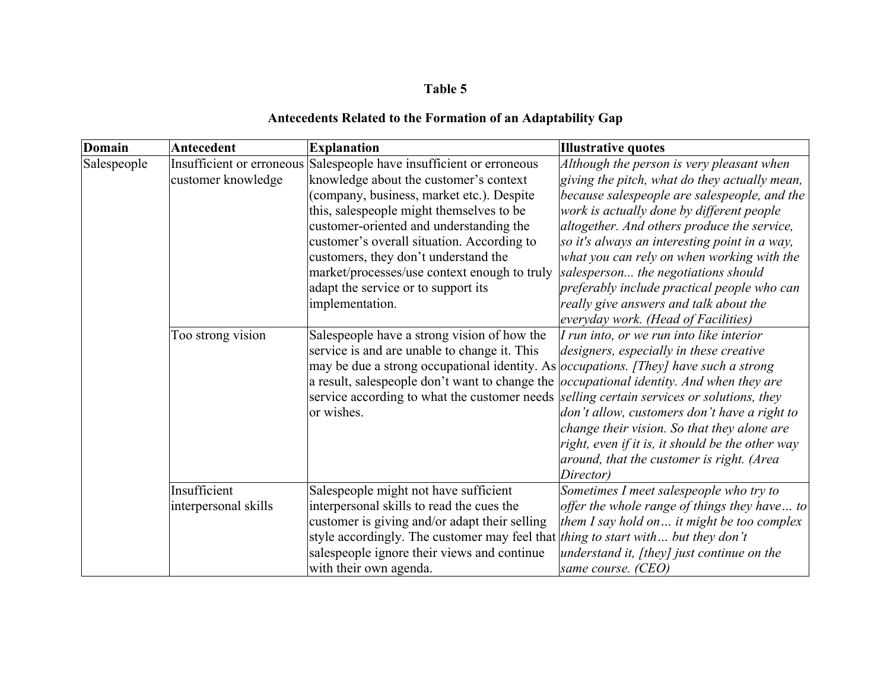# **Antecedents Related to the Formation of an Adaptability Gap**

| Domain      | Antecedent                                                           | <b>Explanation</b>                                                                                                                                                                                                                                                                                                                                                                                                                                                                                                                                                                                                                                                                                                                                                                                                                        | <b>Illustrative quotes</b>                                                                                                                                                                                                                                                                                                                                                                                                                                                                                                                                                                                                                                                                                                                                                                          |
|-------------|----------------------------------------------------------------------|-------------------------------------------------------------------------------------------------------------------------------------------------------------------------------------------------------------------------------------------------------------------------------------------------------------------------------------------------------------------------------------------------------------------------------------------------------------------------------------------------------------------------------------------------------------------------------------------------------------------------------------------------------------------------------------------------------------------------------------------------------------------------------------------------------------------------------------------|-----------------------------------------------------------------------------------------------------------------------------------------------------------------------------------------------------------------------------------------------------------------------------------------------------------------------------------------------------------------------------------------------------------------------------------------------------------------------------------------------------------------------------------------------------------------------------------------------------------------------------------------------------------------------------------------------------------------------------------------------------------------------------------------------------|
| Salespeople | Insufficient or erroneous<br>customer knowledge<br>Too strong vision | Salespeople have insufficient or erroneous<br>knowledge about the customer's context<br>(company, business, market etc.). Despite<br>this, salespeople might themselves to be<br>customer-oriented and understanding the<br>customer's overall situation. According to<br>customers, they don't understand the<br>market/processes/use context enough to truly<br>adapt the service or to support its<br>implementation.<br>Salespeople have a strong vision of how the<br>service is and are unable to change it. This<br>may be due a strong occupational identity. As <i>occupations. [They] have such a strong</i><br>a result, salespeople don't want to change the <i>occupational identity. And when they are</i><br>service according to what the customer needs <i>selling certain services or solutions, they</i><br>or wishes. | Although the person is very pleasant when<br>giving the pitch, what do they actually mean,<br>because salespeople are salespeople, and the<br>work is actually done by different people<br>altogether. And others produce the service,<br>so it's always an interesting point in a way,<br>what you can rely on when working with the<br>salesperson the negotiations should<br>preferably include practical people who can<br>really give answers and talk about the<br>everyday work. (Head of Facilities)<br>I run into, or we run into like interior<br>designers, especially in these creative<br>don't allow, customers don't have a right to<br>change their vision. So that they alone are<br>right, even if it is, it should be the other way<br>around, that the customer is right. (Area |
|             | Insufficient<br>interpersonal skills                                 | Salespeople might not have sufficient<br>interpersonal skills to read the cues the<br>customer is giving and/or adapt their selling<br>style accordingly. The customer may feel that <i>thing to start with but they don't</i><br>salespeople ignore their views and continue<br>with their own agenda.                                                                                                                                                                                                                                                                                                                                                                                                                                                                                                                                   | Director)<br>Sometimes I meet salespeople who try to<br>offer the whole range of things they have to<br>them I say hold on it might be too complex<br>understand it, [they] just continue on the<br>same course. (CEO)                                                                                                                                                                                                                                                                                                                                                                                                                                                                                                                                                                              |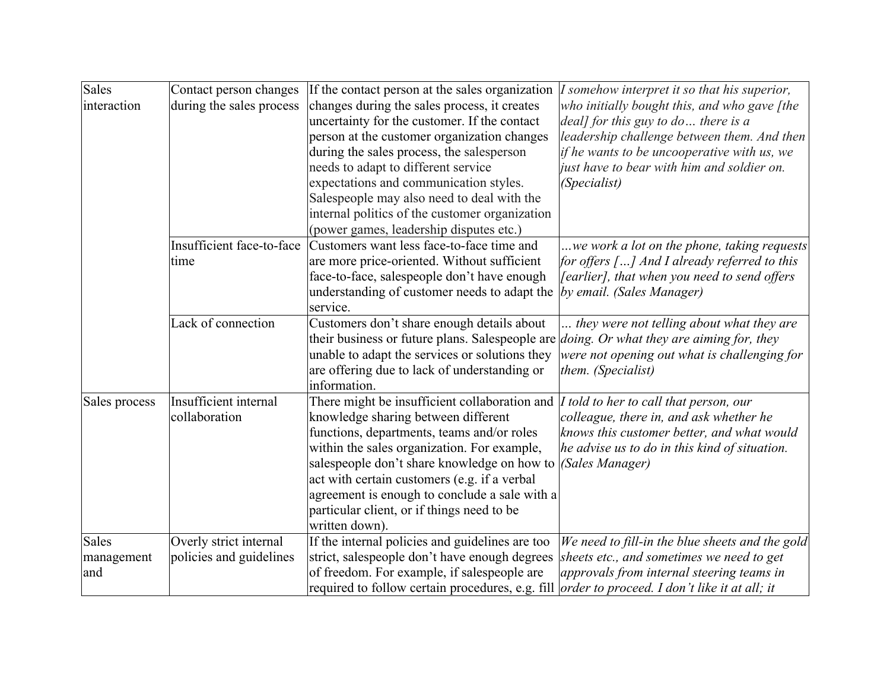| <b>Sales</b>  | Contact person changes    | If the contact person at the sales organization $\vert I$ somehow interpret it so that his superior,                                                |                                                 |
|---------------|---------------------------|-----------------------------------------------------------------------------------------------------------------------------------------------------|-------------------------------------------------|
| interaction   | during the sales process  | changes during the sales process, it creates                                                                                                        | who initially bought this, and who gave [the    |
|               |                           | uncertainty for the customer. If the contact                                                                                                        | deal] for this guy to do there is a             |
|               |                           | person at the customer organization changes                                                                                                         | leadership challenge between them. And then     |
|               |                           | during the sales process, the salesperson                                                                                                           | if he wants to be uncooperative with us, we     |
|               |                           | needs to adapt to different service                                                                                                                 | just have to bear with him and soldier on.      |
|               |                           | expectations and communication styles.                                                                                                              | (Specialist)                                    |
|               |                           | Salespeople may also need to deal with the                                                                                                          |                                                 |
|               |                           | internal politics of the customer organization                                                                                                      |                                                 |
|               |                           | (power games, leadership disputes etc.)                                                                                                             |                                                 |
|               | Insufficient face-to-face | Customers want less face-to-face time and                                                                                                           | we work a lot on the phone, taking requests     |
|               | time                      | are more price-oriented. Without sufficient                                                                                                         | for offers $[]$ And I already referred to this  |
|               |                           | face-to-face, salespeople don't have enough                                                                                                         | [earlier], that when you need to send offers    |
|               |                           | understanding of customer needs to adapt the <i>by email. (Sales Manager)</i>                                                                       |                                                 |
|               |                           | service.                                                                                                                                            |                                                 |
|               | Lack of connection        | Customers don't share enough details about                                                                                                          | they were not telling about what they are       |
|               |                           | their business or future plans. Salespeople are <i>doing. Or what they are aiming for, they</i>                                                     |                                                 |
|               |                           | unable to adapt the services or solutions they                                                                                                      | were not opening out what is challenging for    |
|               |                           | are offering due to lack of understanding or                                                                                                        | them. (Specialist)                              |
|               |                           | information.                                                                                                                                        |                                                 |
| Sales process | Insufficient internal     | There might be insufficient collaboration and $\vert I \cdot \vert$ told to her to call that person, our                                            |                                                 |
|               | collaboration             | knowledge sharing between different                                                                                                                 | colleague, there in, and ask whether he         |
|               |                           | functions, departments, teams and/or roles                                                                                                          | knows this customer better, and what would      |
|               |                           | within the sales organization. For example,                                                                                                         | he advise us to do in this kind of situation.   |
|               |                           | salespeople don't share knowledge on how to <i>(Sales Manager)</i>                                                                                  |                                                 |
|               |                           | act with certain customers (e.g. if a verbal                                                                                                        |                                                 |
|               |                           | agreement is enough to conclude a sale with a                                                                                                       |                                                 |
|               |                           | particular client, or if things need to be                                                                                                          |                                                 |
| <b>Sales</b>  |                           | written down).                                                                                                                                      |                                                 |
|               | Overly strict internal    | If the internal policies and guidelines are too                                                                                                     | We need to fill-in the blue sheets and the gold |
| management    | policies and guidelines   | strict, salespeople don't have enough degrees                                                                                                       | sheets etc., and sometimes we need to get       |
| and           |                           | of freedom. For example, if salespeople are<br>required to follow certain procedures, e.g. fill <i>order to proceed. I don't like it at all; it</i> | approvals from internal steering teams in       |
|               |                           |                                                                                                                                                     |                                                 |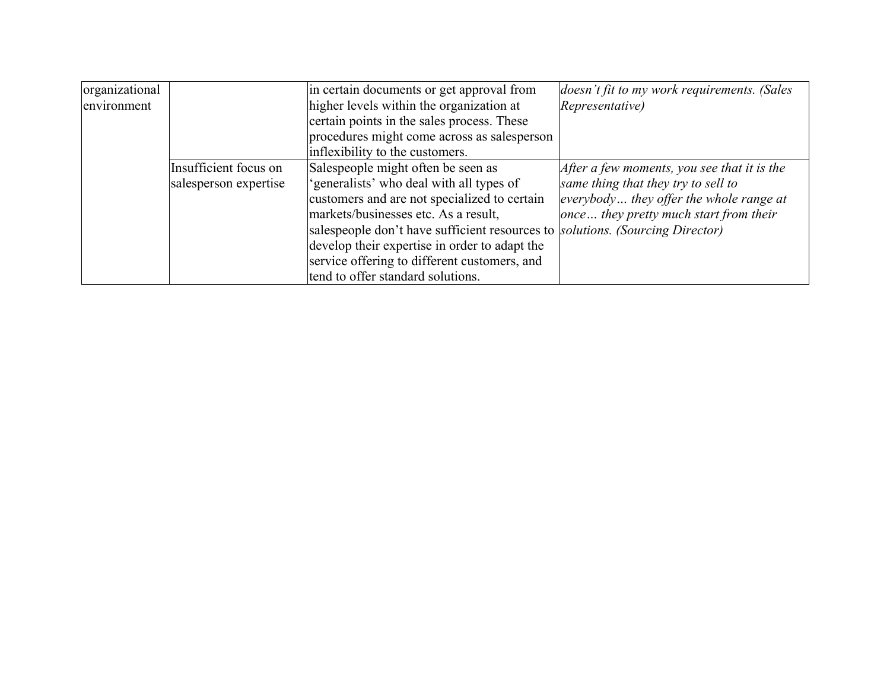| organizational |                       | in certain documents or get approval from                                            | doesn't fit to my work requirements. (Sales |
|----------------|-----------------------|--------------------------------------------------------------------------------------|---------------------------------------------|
| environment    |                       | higher levels within the organization at                                             | <i>Representative</i> )                     |
|                |                       | certain points in the sales process. These                                           |                                             |
|                |                       | procedures might come across as salesperson                                          |                                             |
|                |                       | inflexibility to the customers.                                                      |                                             |
|                | Insufficient focus on | Salespeople might often be seen as                                                   | After a few moments, you see that it is the |
|                | salesperson expertise | 'generalists' who deal with all types of                                             | same thing that they try to sell to         |
|                |                       | customers and are not specialized to certain                                         | everybody they offer the whole range at     |
|                |                       | markets/businesses etc. As a result,                                                 | once they pretty much start from their      |
|                |                       | salespeople don't have sufficient resources to <i>solutions. (Sourcing Director)</i> |                                             |
|                |                       | develop their expertise in order to adapt the                                        |                                             |
|                |                       | service offering to different customers, and                                         |                                             |
|                |                       | tend to offer standard solutions.                                                    |                                             |